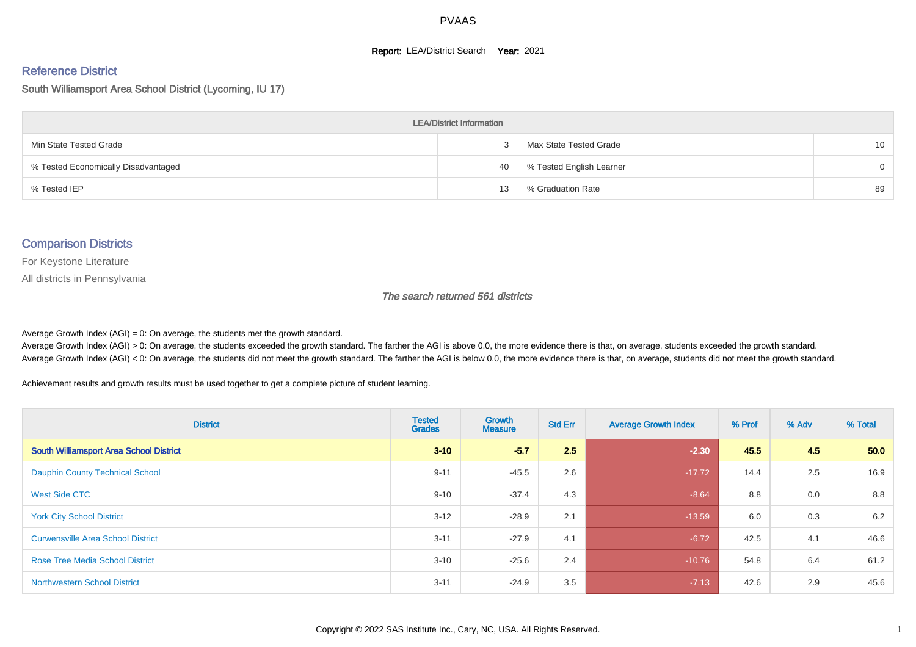#### **Report: LEA/District Search Year: 2021**

#### Reference District

#### South Williamsport Area School District (Lycoming, IU 17)

| <b>LEA/District Information</b>     |    |                          |                 |  |  |  |  |  |  |  |
|-------------------------------------|----|--------------------------|-----------------|--|--|--|--|--|--|--|
| Min State Tested Grade              |    | Max State Tested Grade   | 10 <sup>°</sup> |  |  |  |  |  |  |  |
| % Tested Economically Disadvantaged | 40 | % Tested English Learner | $\Omega$        |  |  |  |  |  |  |  |
| % Tested IEP                        | 13 | % Graduation Rate        | 89              |  |  |  |  |  |  |  |

#### Comparison Districts

For Keystone Literature

All districts in Pennsylvania

The search returned 561 districts

Average Growth Index  $(AGI) = 0$ : On average, the students met the growth standard.

Average Growth Index (AGI) > 0: On average, the students exceeded the growth standard. The farther the AGI is above 0.0, the more evidence there is that, on average, students exceeded the growth standard. Average Growth Index (AGI) < 0: On average, the students did not meet the growth standard. The farther the AGI is below 0.0, the more evidence there is that, on average, students did not meet the growth standard.

Achievement results and growth results must be used together to get a complete picture of student learning.

| <b>District</b>                                | <b>Tested</b><br><b>Grades</b> | <b>Growth</b><br><b>Measure</b> | <b>Std Err</b> | <b>Average Growth Index</b> | % Prof | % Adv | % Total |
|------------------------------------------------|--------------------------------|---------------------------------|----------------|-----------------------------|--------|-------|---------|
| <b>South Williamsport Area School District</b> | $3 - 10$                       | $-5.7$                          | 2.5            | $-2.30$                     | 45.5   | 4.5   | 50.0    |
| <b>Dauphin County Technical School</b>         | $9 - 11$                       | $-45.5$                         | 2.6            | $-17.72$                    | 14.4   | 2.5   | 16.9    |
| West Side CTC                                  | $9 - 10$                       | $-37.4$                         | 4.3            | $-8.64$                     | 8.8    | 0.0   | 8.8     |
| <b>York City School District</b>               | $3 - 12$                       | $-28.9$                         | 2.1            | $-13.59$                    | 6.0    | 0.3   | 6.2     |
| <b>Curwensville Area School District</b>       | $3 - 11$                       | $-27.9$                         | 4.1            | $-6.72$                     | 42.5   | 4.1   | 46.6    |
| <b>Rose Tree Media School District</b>         | $3 - 10$                       | $-25.6$                         | 2.4            | $-10.76$                    | 54.8   | 6.4   | 61.2    |
| <b>Northwestern School District</b>            | $3 - 11$                       | $-24.9$                         | 3.5            | $-7.13$                     | 42.6   | 2.9   | 45.6    |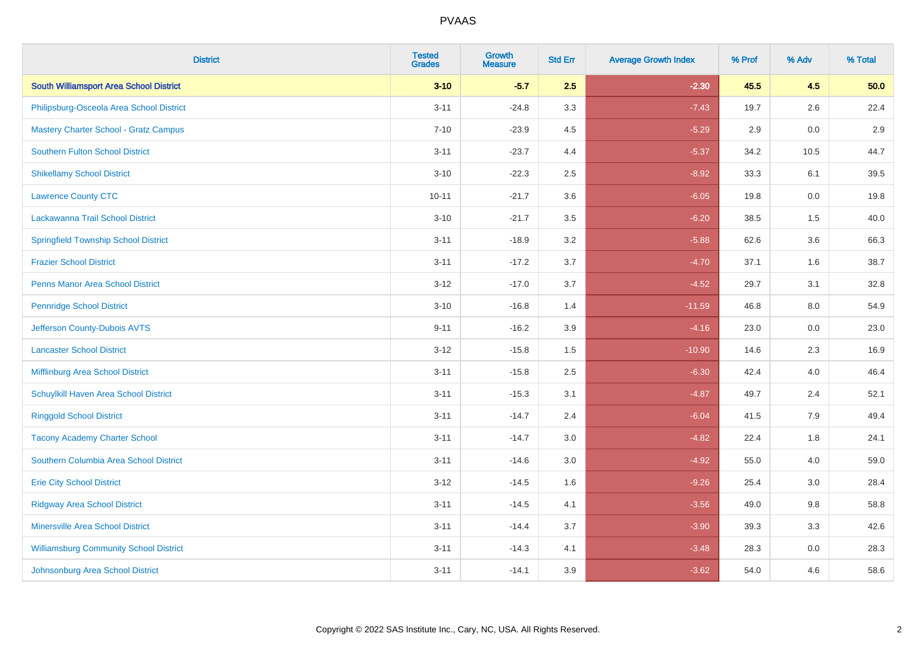| <b>District</b>                                | <b>Tested</b><br><b>Grades</b> | <b>Growth</b><br><b>Measure</b> | <b>Std Err</b> | <b>Average Growth Index</b> | % Prof | % Adv   | % Total |
|------------------------------------------------|--------------------------------|---------------------------------|----------------|-----------------------------|--------|---------|---------|
| <b>South Williamsport Area School District</b> | $3 - 10$                       | $-5.7$                          | 2.5            | $-2.30$                     | 45.5   | 4.5     | 50.0    |
| Philipsburg-Osceola Area School District       | $3 - 11$                       | $-24.8$                         | 3.3            | $-7.43$                     | 19.7   | $2.6\,$ | 22.4    |
| <b>Mastery Charter School - Gratz Campus</b>   | $7 - 10$                       | $-23.9$                         | 4.5            | $-5.29$                     | 2.9    | 0.0     | 2.9     |
| <b>Southern Fulton School District</b>         | $3 - 11$                       | $-23.7$                         | 4.4            | $-5.37$                     | 34.2   | 10.5    | 44.7    |
| <b>Shikellamy School District</b>              | $3 - 10$                       | $-22.3$                         | 2.5            | $-8.92$                     | 33.3   | 6.1     | 39.5    |
| <b>Lawrence County CTC</b>                     | $10 - 11$                      | $-21.7$                         | 3.6            | $-6.05$                     | 19.8   | 0.0     | 19.8    |
| Lackawanna Trail School District               | $3 - 10$                       | $-21.7$                         | 3.5            | $-6.20$                     | 38.5   | 1.5     | 40.0    |
| <b>Springfield Township School District</b>    | $3 - 11$                       | $-18.9$                         | 3.2            | $-5.88$                     | 62.6   | 3.6     | 66.3    |
| <b>Frazier School District</b>                 | $3 - 11$                       | $-17.2$                         | 3.7            | $-4.70$                     | 37.1   | 1.6     | 38.7    |
| <b>Penns Manor Area School District</b>        | $3 - 12$                       | $-17.0$                         | 3.7            | $-4.52$                     | 29.7   | 3.1     | 32.8    |
| <b>Pennridge School District</b>               | $3 - 10$                       | $-16.8$                         | 1.4            | $-11.59$                    | 46.8   | 8.0     | 54.9    |
| Jefferson County-Dubois AVTS                   | $9 - 11$                       | $-16.2$                         | 3.9            | $-4.16$                     | 23.0   | 0.0     | 23.0    |
| <b>Lancaster School District</b>               | $3 - 12$                       | $-15.8$                         | $1.5$          | $-10.90$                    | 14.6   | 2.3     | 16.9    |
| <b>Mifflinburg Area School District</b>        | $3 - 11$                       | $-15.8$                         | 2.5            | $-6.30$                     | 42.4   | 4.0     | 46.4    |
| Schuylkill Haven Area School District          | $3 - 11$                       | $-15.3$                         | 3.1            | $-4.87$                     | 49.7   | 2.4     | 52.1    |
| <b>Ringgold School District</b>                | $3 - 11$                       | $-14.7$                         | 2.4            | $-6.04$                     | 41.5   | 7.9     | 49.4    |
| <b>Tacony Academy Charter School</b>           | $3 - 11$                       | $-14.7$                         | 3.0            | $-4.82$                     | 22.4   | 1.8     | 24.1    |
| Southern Columbia Area School District         | $3 - 11$                       | $-14.6$                         | 3.0            | $-4.92$                     | 55.0   | 4.0     | 59.0    |
| <b>Erie City School District</b>               | $3 - 12$                       | $-14.5$                         | 1.6            | $-9.26$                     | 25.4   | 3.0     | 28.4    |
| <b>Ridgway Area School District</b>            | $3 - 11$                       | $-14.5$                         | 4.1            | $-3.56$                     | 49.0   | 9.8     | 58.8    |
| <b>Minersville Area School District</b>        | $3 - 11$                       | $-14.4$                         | 3.7            | $-3.90$                     | 39.3   | 3.3     | 42.6    |
| <b>Williamsburg Community School District</b>  | $3 - 11$                       | $-14.3$                         | 4.1            | $-3.48$                     | 28.3   | 0.0     | 28.3    |
| Johnsonburg Area School District               | $3 - 11$                       | $-14.1$                         | 3.9            | $-3.62$                     | 54.0   | 4.6     | 58.6    |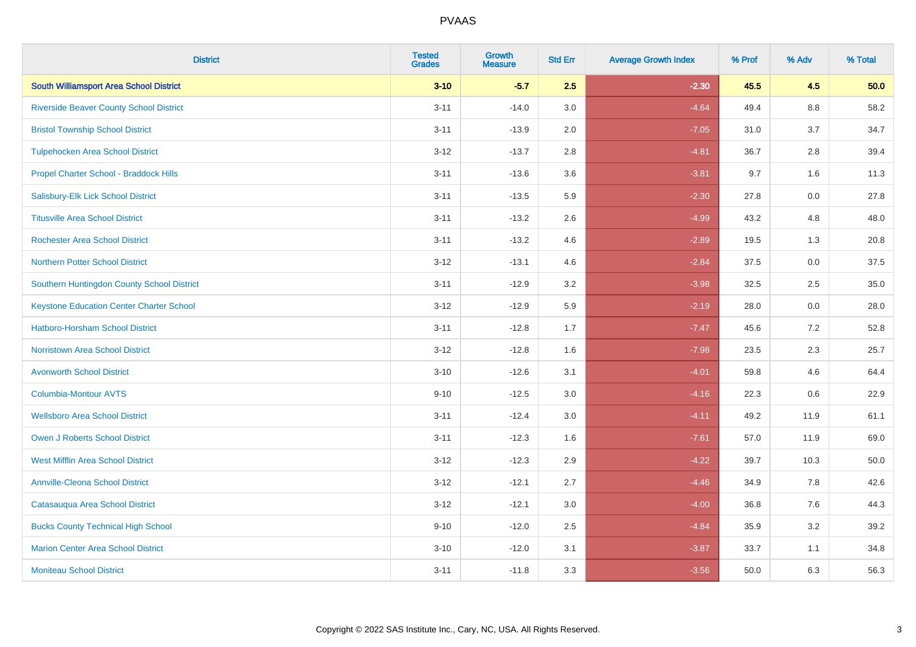| <b>District</b>                                 | <b>Tested</b><br><b>Grades</b> | <b>Growth</b><br><b>Measure</b> | <b>Std Err</b> | <b>Average Growth Index</b> | % Prof | % Adv   | % Total |
|-------------------------------------------------|--------------------------------|---------------------------------|----------------|-----------------------------|--------|---------|---------|
| <b>South Williamsport Area School District</b>  | $3 - 10$                       | $-5.7$                          | 2.5            | $-2.30$                     | 45.5   | 4.5     | 50.0    |
| <b>Riverside Beaver County School District</b>  | $3 - 11$                       | $-14.0$                         | 3.0            | $-4.64$                     | 49.4   | $8.8\,$ | 58.2    |
| <b>Bristol Township School District</b>         | $3 - 11$                       | $-13.9$                         | 2.0            | $-7.05$                     | 31.0   | 3.7     | 34.7    |
| <b>Tulpehocken Area School District</b>         | $3 - 12$                       | $-13.7$                         | 2.8            | $-4.81$                     | 36.7   | 2.8     | 39.4    |
| Propel Charter School - Braddock Hills          | $3 - 11$                       | $-13.6$                         | 3.6            | $-3.81$                     | 9.7    | 1.6     | 11.3    |
| Salisbury-Elk Lick School District              | $3 - 11$                       | $-13.5$                         | 5.9            | $-2.30$                     | 27.8   | 0.0     | 27.8    |
| <b>Titusville Area School District</b>          | $3 - 11$                       | $-13.2$                         | 2.6            | $-4.99$                     | 43.2   | 4.8     | 48.0    |
| <b>Rochester Area School District</b>           | $3 - 11$                       | $-13.2$                         | 4.6            | $-2.89$                     | 19.5   | 1.3     | 20.8    |
| <b>Northern Potter School District</b>          | $3 - 12$                       | $-13.1$                         | 4.6            | $-2.84$                     | 37.5   | 0.0     | 37.5    |
| Southern Huntingdon County School District      | $3 - 11$                       | $-12.9$                         | 3.2            | $-3.98$                     | 32.5   | $2.5\,$ | 35.0    |
| <b>Keystone Education Center Charter School</b> | $3 - 12$                       | $-12.9$                         | 5.9            | $-2.19$                     | 28.0   | 0.0     | 28.0    |
| <b>Hatboro-Horsham School District</b>          | $3 - 11$                       | $-12.8$                         | 1.7            | $-7.47$                     | 45.6   | 7.2     | 52.8    |
| <b>Norristown Area School District</b>          | $3-12$                         | $-12.8$                         | 1.6            | $-7.98$                     | 23.5   | 2.3     | 25.7    |
| <b>Avonworth School District</b>                | $3 - 10$                       | $-12.6$                         | 3.1            | $-4.01$                     | 59.8   | 4.6     | 64.4    |
| Columbia-Montour AVTS                           | $9 - 10$                       | $-12.5$                         | 3.0            | $-4.16$                     | 22.3   | 0.6     | 22.9    |
| <b>Wellsboro Area School District</b>           | $3 - 11$                       | $-12.4$                         | 3.0            | $-4.11$                     | 49.2   | 11.9    | 61.1    |
| <b>Owen J Roberts School District</b>           | $3 - 11$                       | $-12.3$                         | 1.6            | $-7.61$                     | 57.0   | 11.9    | 69.0    |
| <b>West Mifflin Area School District</b>        | $3 - 12$                       | $-12.3$                         | 2.9            | $-4.22$                     | 39.7   | 10.3    | 50.0    |
| <b>Annville-Cleona School District</b>          | $3 - 12$                       | $-12.1$                         | 2.7            | $-4.46$                     | 34.9   | 7.8     | 42.6    |
| Catasauqua Area School District                 | $3 - 12$                       | $-12.1$                         | 3.0            | $-4.00$                     | 36.8   | 7.6     | 44.3    |
| <b>Bucks County Technical High School</b>       | $9 - 10$                       | $-12.0$                         | 2.5            | $-4.84$                     | 35.9   | 3.2     | 39.2    |
| <b>Marion Center Area School District</b>       | $3 - 10$                       | $-12.0$                         | 3.1            | $-3.87$                     | 33.7   | 1.1     | 34.8    |
| <b>Moniteau School District</b>                 | $3 - 11$                       | $-11.8$                         | 3.3            | $-3.56$                     | 50.0   | 6.3     | 56.3    |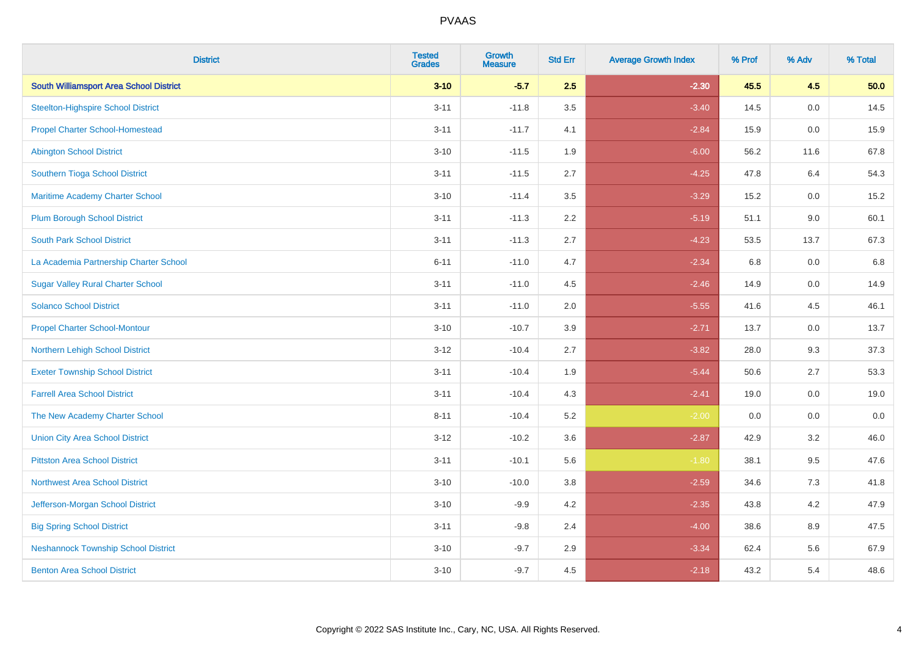| <b>District</b>                                | <b>Tested</b><br><b>Grades</b> | <b>Growth</b><br><b>Measure</b> | <b>Std Err</b> | <b>Average Growth Index</b> | % Prof | % Adv   | % Total |
|------------------------------------------------|--------------------------------|---------------------------------|----------------|-----------------------------|--------|---------|---------|
| <b>South Williamsport Area School District</b> | $3 - 10$                       | $-5.7$                          | 2.5            | $-2.30$                     | 45.5   | 4.5     | 50.0    |
| <b>Steelton-Highspire School District</b>      | $3 - 11$                       | $-11.8$                         | 3.5            | $-3.40$                     | 14.5   | 0.0     | 14.5    |
| <b>Propel Charter School-Homestead</b>         | $3 - 11$                       | $-11.7$                         | 4.1            | $-2.84$                     | 15.9   | 0.0     | 15.9    |
| <b>Abington School District</b>                | $3 - 10$                       | $-11.5$                         | 1.9            | $-6.00$                     | 56.2   | 11.6    | 67.8    |
| Southern Tioga School District                 | $3 - 11$                       | $-11.5$                         | 2.7            | $-4.25$                     | 47.8   | 6.4     | 54.3    |
| Maritime Academy Charter School                | $3 - 10$                       | $-11.4$                         | 3.5            | $-3.29$                     | 15.2   | 0.0     | 15.2    |
| <b>Plum Borough School District</b>            | $3 - 11$                       | $-11.3$                         | 2.2            | $-5.19$                     | 51.1   | 9.0     | 60.1    |
| <b>South Park School District</b>              | $3 - 11$                       | $-11.3$                         | 2.7            | $-4.23$                     | 53.5   | 13.7    | 67.3    |
| La Academia Partnership Charter School         | $6 - 11$                       | $-11.0$                         | 4.7            | $-2.34$                     | 6.8    | 0.0     | 6.8     |
| <b>Sugar Valley Rural Charter School</b>       | $3 - 11$                       | $-11.0$                         | 4.5            | $-2.46$                     | 14.9   | 0.0     | 14.9    |
| <b>Solanco School District</b>                 | $3 - 11$                       | $-11.0$                         | 2.0            | $-5.55$                     | 41.6   | 4.5     | 46.1    |
| <b>Propel Charter School-Montour</b>           | $3 - 10$                       | $-10.7$                         | 3.9            | $-2.71$                     | 13.7   | 0.0     | 13.7    |
| Northern Lehigh School District                | $3 - 12$                       | $-10.4$                         | 2.7            | $-3.82$                     | 28.0   | 9.3     | 37.3    |
| <b>Exeter Township School District</b>         | $3 - 11$                       | $-10.4$                         | 1.9            | $-5.44$                     | 50.6   | 2.7     | 53.3    |
| <b>Farrell Area School District</b>            | $3 - 11$                       | $-10.4$                         | 4.3            | $-2.41$                     | 19.0   | 0.0     | 19.0    |
| The New Academy Charter School                 | $8 - 11$                       | $-10.4$                         | 5.2            | $-2.00$                     | 0.0    | $0.0\,$ | $0.0\,$ |
| <b>Union City Area School District</b>         | $3 - 12$                       | $-10.2$                         | 3.6            | $-2.87$                     | 42.9   | 3.2     | 46.0    |
| <b>Pittston Area School District</b>           | $3 - 11$                       | $-10.1$                         | 5.6            | $-1.80$                     | 38.1   | 9.5     | 47.6    |
| <b>Northwest Area School District</b>          | $3 - 10$                       | $-10.0$                         | 3.8            | $-2.59$                     | 34.6   | $7.3$   | 41.8    |
| Jefferson-Morgan School District               | $3 - 10$                       | $-9.9$                          | 4.2            | $-2.35$                     | 43.8   | 4.2     | 47.9    |
| <b>Big Spring School District</b>              | $3 - 11$                       | $-9.8$                          | 2.4            | $-4.00$                     | 38.6   | 8.9     | 47.5    |
| <b>Neshannock Township School District</b>     | $3 - 10$                       | $-9.7$                          | 2.9            | $-3.34$                     | 62.4   | 5.6     | 67.9    |
| <b>Benton Area School District</b>             | $3 - 10$                       | $-9.7$                          | 4.5            | $-2.18$                     | 43.2   | 5.4     | 48.6    |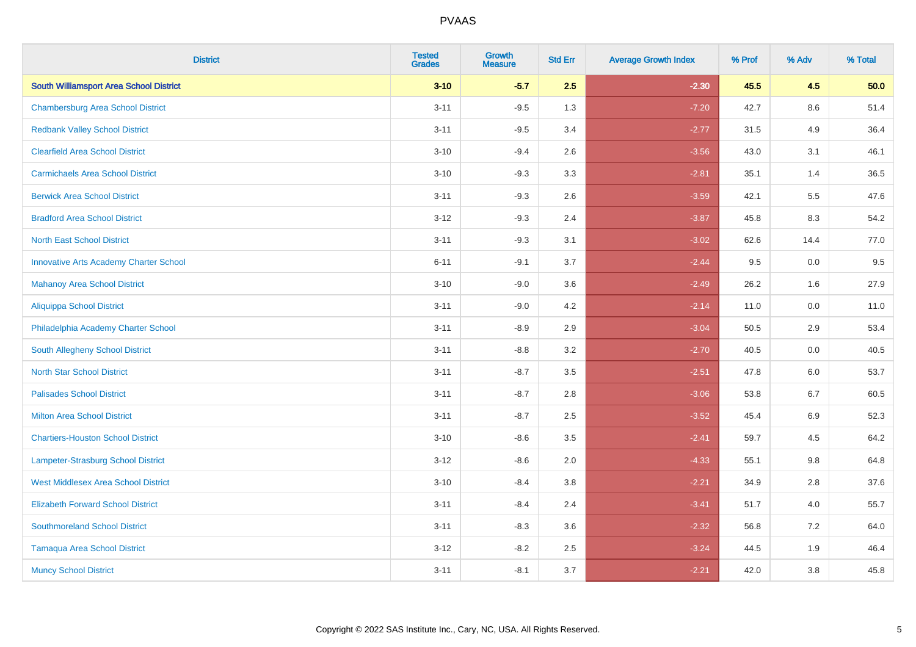| <b>District</b>                                | <b>Tested</b><br><b>Grades</b> | <b>Growth</b><br><b>Measure</b> | <b>Std Err</b> | <b>Average Growth Index</b> | % Prof | % Adv   | % Total |
|------------------------------------------------|--------------------------------|---------------------------------|----------------|-----------------------------|--------|---------|---------|
| <b>South Williamsport Area School District</b> | $3 - 10$                       | $-5.7$                          | 2.5            | $-2.30$                     | 45.5   | 4.5     | 50.0    |
| <b>Chambersburg Area School District</b>       | $3 - 11$                       | $-9.5$                          | 1.3            | $-7.20$                     | 42.7   | 8.6     | 51.4    |
| <b>Redbank Valley School District</b>          | $3 - 11$                       | $-9.5$                          | 3.4            | $-2.77$                     | 31.5   | 4.9     | 36.4    |
| <b>Clearfield Area School District</b>         | $3 - 10$                       | $-9.4$                          | 2.6            | $-3.56$                     | 43.0   | 3.1     | 46.1    |
| <b>Carmichaels Area School District</b>        | $3 - 10$                       | $-9.3$                          | 3.3            | $-2.81$                     | 35.1   | 1.4     | 36.5    |
| <b>Berwick Area School District</b>            | $3 - 11$                       | $-9.3$                          | 2.6            | $-3.59$                     | 42.1   | 5.5     | 47.6    |
| <b>Bradford Area School District</b>           | $3 - 12$                       | $-9.3$                          | 2.4            | $-3.87$                     | 45.8   | 8.3     | 54.2    |
| <b>North East School District</b>              | $3 - 11$                       | $-9.3$                          | 3.1            | $-3.02$                     | 62.6   | 14.4    | 77.0    |
| <b>Innovative Arts Academy Charter School</b>  | $6 - 11$                       | $-9.1$                          | 3.7            | $-2.44$                     | 9.5    | 0.0     | 9.5     |
| <b>Mahanoy Area School District</b>            | $3 - 10$                       | $-9.0$                          | 3.6            | $-2.49$                     | 26.2   | 1.6     | 27.9    |
| <b>Aliquippa School District</b>               | $3 - 11$                       | $-9.0$                          | 4.2            | $-2.14$                     | 11.0   | 0.0     | 11.0    |
| Philadelphia Academy Charter School            | $3 - 11$                       | $-8.9$                          | 2.9            | $-3.04$                     | 50.5   | 2.9     | 53.4    |
| <b>South Allegheny School District</b>         | $3 - 11$                       | $-8.8$                          | 3.2            | $-2.70$                     | 40.5   | $0.0\,$ | 40.5    |
| <b>North Star School District</b>              | $3 - 11$                       | $-8.7$                          | 3.5            | $-2.51$                     | 47.8   | 6.0     | 53.7    |
| <b>Palisades School District</b>               | $3 - 11$                       | $-8.7$                          | 2.8            | $-3.06$                     | 53.8   | 6.7     | 60.5    |
| <b>Milton Area School District</b>             | $3 - 11$                       | $-8.7$                          | 2.5            | $-3.52$                     | 45.4   | $6.9\,$ | 52.3    |
| <b>Chartiers-Houston School District</b>       | $3 - 10$                       | $-8.6$                          | 3.5            | $-2.41$                     | 59.7   | 4.5     | 64.2    |
| <b>Lampeter-Strasburg School District</b>      | $3 - 12$                       | $-8.6$                          | 2.0            | $-4.33$                     | 55.1   | 9.8     | 64.8    |
| <b>West Middlesex Area School District</b>     | $3 - 10$                       | $-8.4$                          | 3.8            | $-2.21$                     | 34.9   | 2.8     | 37.6    |
| <b>Elizabeth Forward School District</b>       | $3 - 11$                       | $-8.4$                          | 2.4            | $-3.41$                     | 51.7   | 4.0     | 55.7    |
| <b>Southmoreland School District</b>           | $3 - 11$                       | $-8.3$                          | 3.6            | $-2.32$                     | 56.8   | 7.2     | 64.0    |
| <b>Tamaqua Area School District</b>            | $3 - 12$                       | $-8.2$                          | 2.5            | $-3.24$                     | 44.5   | 1.9     | 46.4    |
| <b>Muncy School District</b>                   | $3 - 11$                       | $-8.1$                          | 3.7            | $-2.21$                     | 42.0   | 3.8     | 45.8    |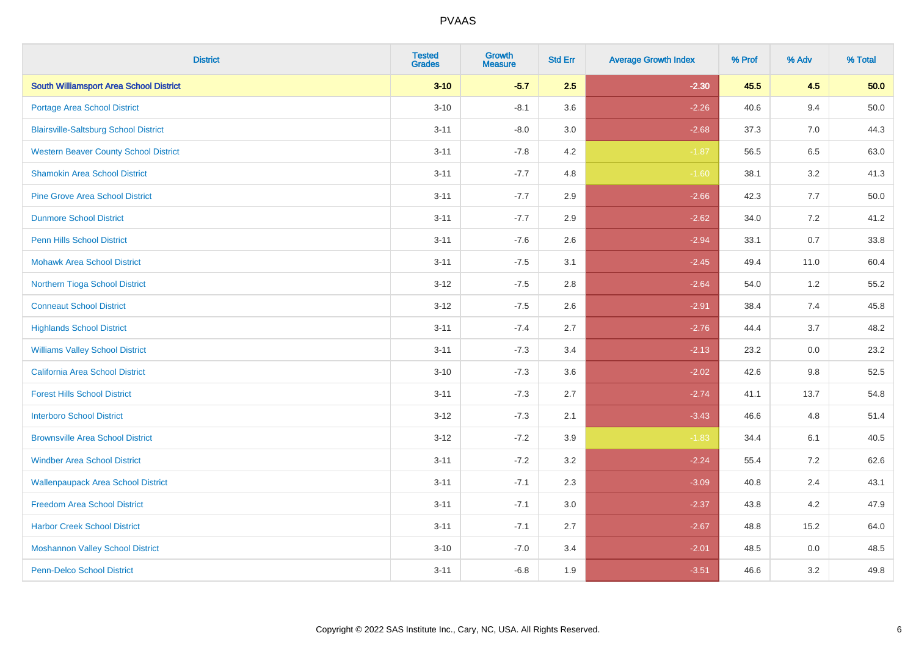| <b>District</b>                                | <b>Tested</b><br><b>Grades</b> | <b>Growth</b><br><b>Measure</b> | <b>Std Err</b> | <b>Average Growth Index</b> | % Prof | % Adv   | % Total  |
|------------------------------------------------|--------------------------------|---------------------------------|----------------|-----------------------------|--------|---------|----------|
| <b>South Williamsport Area School District</b> | $3 - 10$                       | $-5.7$                          | 2.5            | $-2.30$                     | 45.5   | 4.5     | 50.0     |
| Portage Area School District                   | $3 - 10$                       | $-8.1$                          | 3.6            | $-2.26$                     | 40.6   | 9.4     | $50.0\,$ |
| <b>Blairsville-Saltsburg School District</b>   | $3 - 11$                       | $-8.0$                          | 3.0            | $-2.68$                     | 37.3   | 7.0     | 44.3     |
| <b>Western Beaver County School District</b>   | $3 - 11$                       | $-7.8$                          | 4.2            | $-1.87$                     | 56.5   | 6.5     | 63.0     |
| <b>Shamokin Area School District</b>           | $3 - 11$                       | $-7.7$                          | 4.8            | $-1.60$                     | 38.1   | 3.2     | 41.3     |
| <b>Pine Grove Area School District</b>         | $3 - 11$                       | $-7.7$                          | 2.9            | $-2.66$                     | 42.3   | 7.7     | 50.0     |
| <b>Dunmore School District</b>                 | $3 - 11$                       | $-7.7$                          | 2.9            | $-2.62$                     | 34.0   | 7.2     | 41.2     |
| <b>Penn Hills School District</b>              | $3 - 11$                       | $-7.6$                          | 2.6            | $-2.94$                     | 33.1   | 0.7     | 33.8     |
| <b>Mohawk Area School District</b>             | $3 - 11$                       | $-7.5$                          | 3.1            | $-2.45$                     | 49.4   | 11.0    | 60.4     |
| Northern Tioga School District                 | $3 - 12$                       | $-7.5$                          | 2.8            | $-2.64$                     | 54.0   | 1.2     | 55.2     |
| <b>Conneaut School District</b>                | $3 - 12$                       | $-7.5$                          | 2.6            | $-2.91$                     | 38.4   | 7.4     | 45.8     |
| <b>Highlands School District</b>               | $3 - 11$                       | $-7.4$                          | 2.7            | $-2.76$                     | 44.4   | 3.7     | 48.2     |
| <b>Williams Valley School District</b>         | $3 - 11$                       | $-7.3$                          | 3.4            | $-2.13$                     | 23.2   | 0.0     | 23.2     |
| <b>California Area School District</b>         | $3 - 10$                       | $-7.3$                          | 3.6            | $-2.02$                     | 42.6   | 9.8     | 52.5     |
| <b>Forest Hills School District</b>            | $3 - 11$                       | $-7.3$                          | 2.7            | $-2.74$                     | 41.1   | 13.7    | 54.8     |
| <b>Interboro School District</b>               | $3 - 12$                       | $-7.3$                          | 2.1            | $-3.43$                     | 46.6   | 4.8     | 51.4     |
| <b>Brownsville Area School District</b>        | $3 - 12$                       | $-7.2$                          | 3.9            | $-1.83$                     | 34.4   | 6.1     | 40.5     |
| <b>Windber Area School District</b>            | $3 - 11$                       | $-7.2$                          | 3.2            | $-2.24$                     | 55.4   | 7.2     | 62.6     |
| <b>Wallenpaupack Area School District</b>      | $3 - 11$                       | $-7.1$                          | 2.3            | $-3.09$                     | 40.8   | 2.4     | 43.1     |
| <b>Freedom Area School District</b>            | $3 - 11$                       | $-7.1$                          | 3.0            | $-2.37$                     | 43.8   | 4.2     | 47.9     |
| <b>Harbor Creek School District</b>            | $3 - 11$                       | $-7.1$                          | 2.7            | $-2.67$                     | 48.8   | 15.2    | 64.0     |
| <b>Moshannon Valley School District</b>        | $3 - 10$                       | $-7.0$                          | 3.4            | $-2.01$                     | 48.5   | $0.0\,$ | 48.5     |
| <b>Penn-Delco School District</b>              | $3 - 11$                       | $-6.8$                          | 1.9            | $-3.51$                     | 46.6   | 3.2     | 49.8     |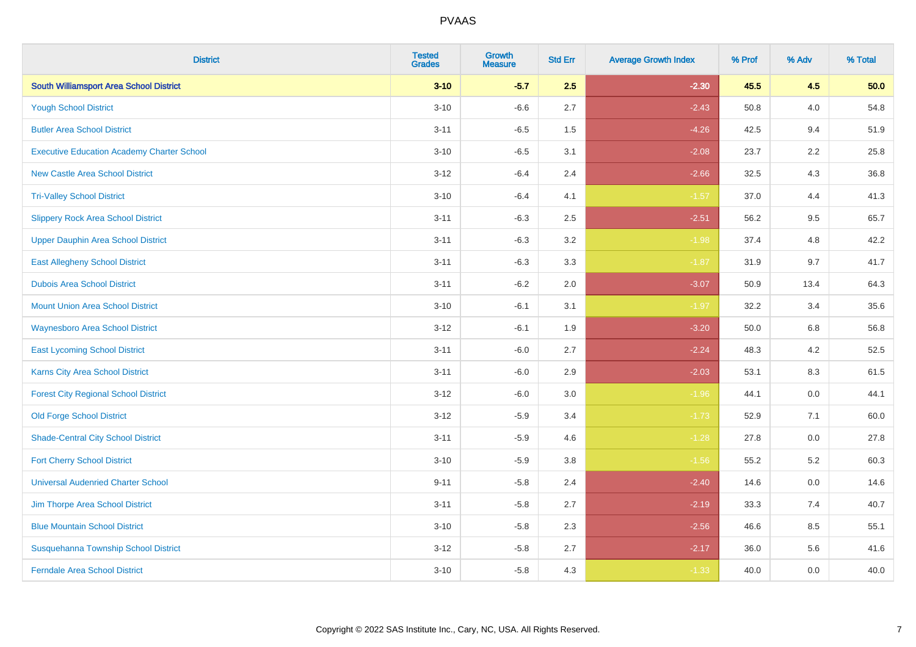| <b>District</b>                                   | <b>Tested</b><br><b>Grades</b> | <b>Growth</b><br><b>Measure</b> | <b>Std Err</b> | <b>Average Growth Index</b> | % Prof | % Adv   | % Total |
|---------------------------------------------------|--------------------------------|---------------------------------|----------------|-----------------------------|--------|---------|---------|
| <b>South Williamsport Area School District</b>    | $3 - 10$                       | $-5.7$                          | 2.5            | $-2.30$                     | 45.5   | 4.5     | 50.0    |
| <b>Yough School District</b>                      | $3 - 10$                       | $-6.6$                          | 2.7            | $-2.43$                     | 50.8   | 4.0     | 54.8    |
| <b>Butler Area School District</b>                | $3 - 11$                       | $-6.5$                          | 1.5            | $-4.26$                     | 42.5   | 9.4     | 51.9    |
| <b>Executive Education Academy Charter School</b> | $3 - 10$                       | $-6.5$                          | 3.1            | $-2.08$                     | 23.7   | 2.2     | 25.8    |
| <b>New Castle Area School District</b>            | $3 - 12$                       | $-6.4$                          | 2.4            | $-2.66$                     | 32.5   | 4.3     | 36.8    |
| <b>Tri-Valley School District</b>                 | $3 - 10$                       | $-6.4$                          | 4.1            | $-1.57$                     | 37.0   | 4.4     | 41.3    |
| <b>Slippery Rock Area School District</b>         | $3 - 11$                       | $-6.3$                          | 2.5            | $-2.51$                     | 56.2   | 9.5     | 65.7    |
| <b>Upper Dauphin Area School District</b>         | $3 - 11$                       | $-6.3$                          | 3.2            | $-1.98$                     | 37.4   | 4.8     | 42.2    |
| <b>East Allegheny School District</b>             | $3 - 11$                       | $-6.3$                          | 3.3            | $-1.87$                     | 31.9   | 9.7     | 41.7    |
| <b>Dubois Area School District</b>                | $3 - 11$                       | $-6.2$                          | 2.0            | $-3.07$                     | 50.9   | 13.4    | 64.3    |
| <b>Mount Union Area School District</b>           | $3 - 10$                       | $-6.1$                          | 3.1            | $-1.97$                     | 32.2   | 3.4     | 35.6    |
| <b>Waynesboro Area School District</b>            | $3 - 12$                       | $-6.1$                          | 1.9            | $-3.20$                     | 50.0   | 6.8     | 56.8    |
| <b>East Lycoming School District</b>              | $3 - 11$                       | $-6.0$                          | 2.7            | $-2.24$                     | 48.3   | $4.2\,$ | 52.5    |
| <b>Karns City Area School District</b>            | $3 - 11$                       | $-6.0$                          | 2.9            | $-2.03$                     | 53.1   | 8.3     | 61.5    |
| <b>Forest City Regional School District</b>       | $3 - 12$                       | $-6.0$                          | 3.0            | $-1.96$                     | 44.1   | $0.0\,$ | 44.1    |
| <b>Old Forge School District</b>                  | $3 - 12$                       | $-5.9$                          | 3.4            | $-1.73$                     | 52.9   | 7.1     | 60.0    |
| <b>Shade-Central City School District</b>         | $3 - 11$                       | $-5.9$                          | 4.6            | $-1.28$                     | 27.8   | 0.0     | 27.8    |
| <b>Fort Cherry School District</b>                | $3 - 10$                       | $-5.9$                          | 3.8            | $-1.56$                     | 55.2   | 5.2     | 60.3    |
| <b>Universal Audenried Charter School</b>         | $9 - 11$                       | $-5.8$                          | 2.4            | $-2.40$                     | 14.6   | $0.0\,$ | 14.6    |
| Jim Thorpe Area School District                   | $3 - 11$                       | $-5.8$                          | 2.7            | $-2.19$                     | 33.3   | 7.4     | 40.7    |
| <b>Blue Mountain School District</b>              | $3 - 10$                       | $-5.8$                          | 2.3            | $-2.56$                     | 46.6   | 8.5     | 55.1    |
| Susquehanna Township School District              | $3 - 12$                       | $-5.8$                          | 2.7            | $-2.17$                     | 36.0   | 5.6     | 41.6    |
| <b>Ferndale Area School District</b>              | $3 - 10$                       | $-5.8$                          | 4.3            | $-1.33$                     | 40.0   | 0.0     | 40.0    |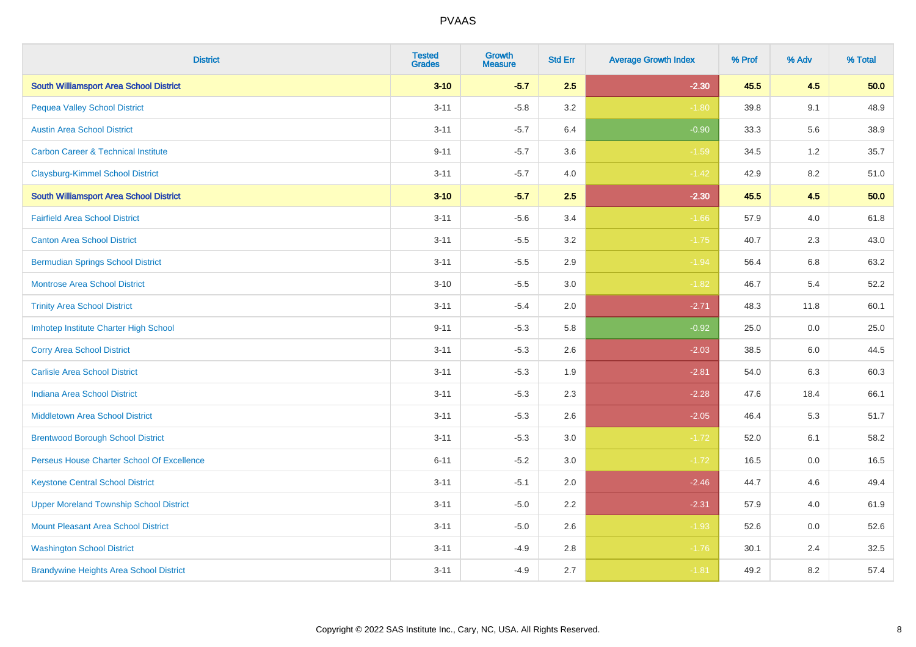| <b>District</b>                                | <b>Tested</b><br><b>Grades</b> | <b>Growth</b><br><b>Measure</b> | <b>Std Err</b> | <b>Average Growth Index</b> | % Prof | % Adv | % Total |
|------------------------------------------------|--------------------------------|---------------------------------|----------------|-----------------------------|--------|-------|---------|
| <b>South Williamsport Area School District</b> | $3 - 10$                       | $-5.7$                          | 2.5            | $-2.30$                     | 45.5   | 4.5   | 50.0    |
| <b>Pequea Valley School District</b>           | $3 - 11$                       | $-5.8$                          | 3.2            | $-1.80$                     | 39.8   | 9.1   | 48.9    |
| <b>Austin Area School District</b>             | $3 - 11$                       | $-5.7$                          | 6.4            | $-0.90$                     | 33.3   | 5.6   | 38.9    |
| <b>Carbon Career &amp; Technical Institute</b> | $9 - 11$                       | $-5.7$                          | 3.6            | $-1.59$                     | 34.5   | 1.2   | 35.7    |
| <b>Claysburg-Kimmel School District</b>        | $3 - 11$                       | $-5.7$                          | 4.0            | $-1.42$                     | 42.9   | 8.2   | 51.0    |
| <b>South Williamsport Area School District</b> | $3 - 10$                       | $-5.7$                          | 2.5            | $-2.30$                     | 45.5   | 4.5   | 50.0    |
| <b>Fairfield Area School District</b>          | $3 - 11$                       | $-5.6$                          | 3.4            | $-1.66$                     | 57.9   | 4.0   | 61.8    |
| <b>Canton Area School District</b>             | $3 - 11$                       | $-5.5$                          | 3.2            | $-1.75$                     | 40.7   | 2.3   | 43.0    |
| <b>Bermudian Springs School District</b>       | $3 - 11$                       | $-5.5$                          | 2.9            | $-1.94$                     | 56.4   | 6.8   | 63.2    |
| <b>Montrose Area School District</b>           | $3 - 10$                       | $-5.5$                          | 3.0            | $-1.82$                     | 46.7   | 5.4   | 52.2    |
| <b>Trinity Area School District</b>            | $3 - 11$                       | $-5.4$                          | 2.0            | $-2.71$                     | 48.3   | 11.8  | 60.1    |
| Imhotep Institute Charter High School          | $9 - 11$                       | $-5.3$                          | 5.8            | $-0.92$                     | 25.0   | 0.0   | 25.0    |
| <b>Corry Area School District</b>              | $3 - 11$                       | $-5.3$                          | 2.6            | $-2.03$                     | 38.5   | 6.0   | 44.5    |
| <b>Carlisle Area School District</b>           | $3 - 11$                       | $-5.3$                          | 1.9            | $-2.81$                     | 54.0   | 6.3   | 60.3    |
| <b>Indiana Area School District</b>            | $3 - 11$                       | $-5.3$                          | 2.3            | $-2.28$                     | 47.6   | 18.4  | 66.1    |
| <b>Middletown Area School District</b>         | $3 - 11$                       | $-5.3$                          | 2.6            | $-2.05$                     | 46.4   | 5.3   | 51.7    |
| <b>Brentwood Borough School District</b>       | $3 - 11$                       | $-5.3$                          | 3.0            | $-1.72$                     | 52.0   | 6.1   | 58.2    |
| Perseus House Charter School Of Excellence     | $6 - 11$                       | $-5.2$                          | 3.0            | $-1.72$                     | 16.5   | 0.0   | 16.5    |
| <b>Keystone Central School District</b>        | $3 - 11$                       | $-5.1$                          | 2.0            | $-2.46$                     | 44.7   | 4.6   | 49.4    |
| <b>Upper Moreland Township School District</b> | $3 - 11$                       | $-5.0$                          | 2.2            | $-2.31$                     | 57.9   | 4.0   | 61.9    |
| <b>Mount Pleasant Area School District</b>     | $3 - 11$                       | $-5.0$                          | 2.6            | $-1.93$                     | 52.6   | 0.0   | 52.6    |
| <b>Washington School District</b>              | $3 - 11$                       | $-4.9$                          | 2.8            | $-1.76$                     | 30.1   | 2.4   | 32.5    |
| <b>Brandywine Heights Area School District</b> | $3 - 11$                       | $-4.9$                          | 2.7            | $-1.81$                     | 49.2   | 8.2   | 57.4    |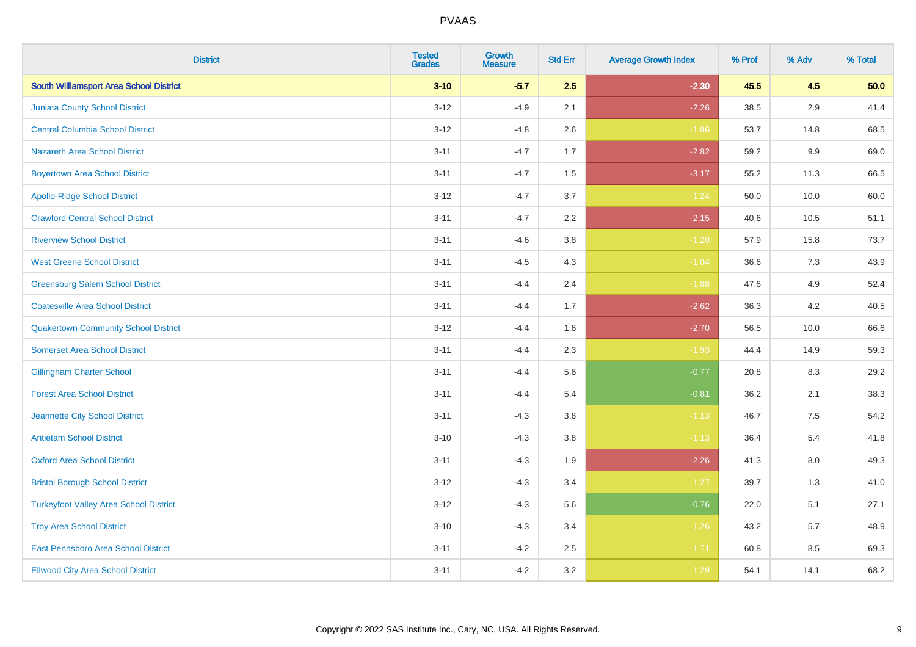| <b>District</b>                                | <b>Tested</b><br><b>Grades</b> | <b>Growth</b><br><b>Measure</b> | <b>Std Err</b> | <b>Average Growth Index</b> | % Prof | % Adv   | % Total |
|------------------------------------------------|--------------------------------|---------------------------------|----------------|-----------------------------|--------|---------|---------|
| <b>South Williamsport Area School District</b> | $3 - 10$                       | $-5.7$                          | 2.5            | $-2.30$                     | 45.5   | 4.5     | 50.0    |
| <b>Juniata County School District</b>          | $3 - 12$                       | $-4.9$                          | 2.1            | $-2.26$                     | 38.5   | 2.9     | 41.4    |
| <b>Central Columbia School District</b>        | $3 - 12$                       | $-4.8$                          | 2.6            | $-1.86$                     | 53.7   | 14.8    | 68.5    |
| <b>Nazareth Area School District</b>           | $3 - 11$                       | $-4.7$                          | 1.7            | $-2.82$                     | 59.2   | 9.9     | 69.0    |
| <b>Boyertown Area School District</b>          | $3 - 11$                       | $-4.7$                          | 1.5            | $-3.17$                     | 55.2   | 11.3    | 66.5    |
| <b>Apollo-Ridge School District</b>            | $3 - 12$                       | $-4.7$                          | 3.7            | $-1.24$                     | 50.0   | 10.0    | 60.0    |
| <b>Crawford Central School District</b>        | $3 - 11$                       | $-4.7$                          | 2.2            | $-2.15$                     | 40.6   | 10.5    | 51.1    |
| <b>Riverview School District</b>               | $3 - 11$                       | $-4.6$                          | 3.8            | $-1.20$                     | 57.9   | 15.8    | 73.7    |
| <b>West Greene School District</b>             | $3 - 11$                       | $-4.5$                          | 4.3            | $-1.04$                     | 36.6   | 7.3     | 43.9    |
| <b>Greensburg Salem School District</b>        | $3 - 11$                       | $-4.4$                          | 2.4            | $-1.88$                     | 47.6   | 4.9     | 52.4    |
| <b>Coatesville Area School District</b>        | $3 - 11$                       | $-4.4$                          | 1.7            | $-2.62$                     | 36.3   | 4.2     | 40.5    |
| <b>Quakertown Community School District</b>    | $3 - 12$                       | $-4.4$                          | 1.6            | $-2.70$                     | 56.5   | 10.0    | 66.6    |
| <b>Somerset Area School District</b>           | $3 - 11$                       | $-4.4$                          | 2.3            | $-1.93$                     | 44.4   | 14.9    | 59.3    |
| <b>Gillingham Charter School</b>               | $3 - 11$                       | $-4.4$                          | 5.6            | $-0.77$                     | 20.8   | 8.3     | 29.2    |
| <b>Forest Area School District</b>             | $3 - 11$                       | $-4.4$                          | 5.4            | $-0.81$                     | 36.2   | 2.1     | 38.3    |
| Jeannette City School District                 | $3 - 11$                       | $-4.3$                          | 3.8            | $-1.13$                     | 46.7   | $7.5\,$ | 54.2    |
| <b>Antietam School District</b>                | $3 - 10$                       | $-4.3$                          | 3.8            | $-1.13$                     | 36.4   | 5.4     | 41.8    |
| <b>Oxford Area School District</b>             | $3 - 11$                       | $-4.3$                          | 1.9            | $-2.26$                     | 41.3   | 8.0     | 49.3    |
| <b>Bristol Borough School District</b>         | $3 - 12$                       | $-4.3$                          | 3.4            | $-1.27$                     | 39.7   | 1.3     | 41.0    |
| <b>Turkeyfoot Valley Area School District</b>  | $3 - 12$                       | $-4.3$                          | 5.6            | $-0.76$                     | 22.0   | 5.1     | 27.1    |
| <b>Troy Area School District</b>               | $3 - 10$                       | $-4.3$                          | 3.4            | $-1.26$                     | 43.2   | 5.7     | 48.9    |
| East Pennsboro Area School District            | $3 - 11$                       | $-4.2$                          | 2.5            | $-1.71$                     | 60.8   | 8.5     | 69.3    |
| <b>Ellwood City Area School District</b>       | $3 - 11$                       | $-4.2$                          | 3.2            | $-1.29$                     | 54.1   | 14.1    | 68.2    |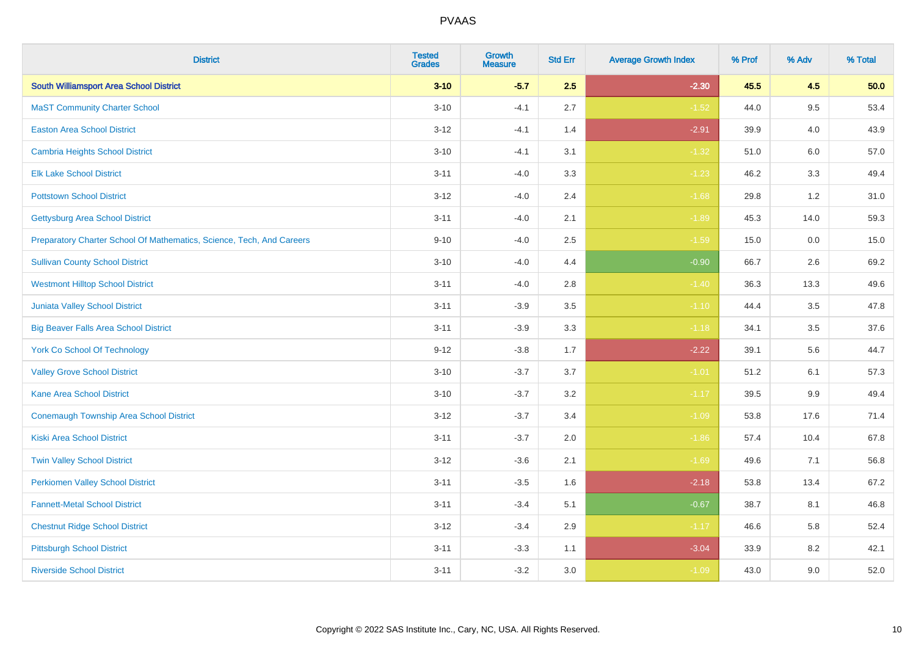| <b>District</b>                                                       | <b>Tested</b><br><b>Grades</b> | <b>Growth</b><br><b>Measure</b> | <b>Std Err</b> | <b>Average Growth Index</b> | % Prof | % Adv   | % Total |
|-----------------------------------------------------------------------|--------------------------------|---------------------------------|----------------|-----------------------------|--------|---------|---------|
| <b>South Williamsport Area School District</b>                        | $3 - 10$                       | $-5.7$                          | 2.5            | $-2.30$                     | 45.5   | 4.5     | 50.0    |
| <b>MaST Community Charter School</b>                                  | $3 - 10$                       | $-4.1$                          | 2.7            | $-1.52$                     | 44.0   | 9.5     | 53.4    |
| <b>Easton Area School District</b>                                    | $3 - 12$                       | $-4.1$                          | 1.4            | $-2.91$                     | 39.9   | 4.0     | 43.9    |
| Cambria Heights School District                                       | $3 - 10$                       | $-4.1$                          | 3.1            | $-1.32$                     | 51.0   | $6.0\,$ | 57.0    |
| <b>Elk Lake School District</b>                                       | $3 - 11$                       | $-4.0$                          | 3.3            | $-1.23$                     | 46.2   | 3.3     | 49.4    |
| <b>Pottstown School District</b>                                      | $3 - 12$                       | $-4.0$                          | 2.4            | $-1.68$                     | 29.8   | 1.2     | 31.0    |
| <b>Gettysburg Area School District</b>                                | $3 - 11$                       | $-4.0$                          | 2.1            | $-1.89$                     | 45.3   | 14.0    | 59.3    |
| Preparatory Charter School Of Mathematics, Science, Tech, And Careers | $9 - 10$                       | $-4.0$                          | 2.5            | $-1.59$                     | 15.0   | 0.0     | 15.0    |
| <b>Sullivan County School District</b>                                | $3 - 10$                       | $-4.0$                          | 4.4            | $-0.90$                     | 66.7   | 2.6     | 69.2    |
| <b>Westmont Hilltop School District</b>                               | $3 - 11$                       | $-4.0$                          | 2.8            | $-1.40$                     | 36.3   | 13.3    | 49.6    |
| Juniata Valley School District                                        | $3 - 11$                       | $-3.9$                          | 3.5            | $-1.10$                     | 44.4   | 3.5     | 47.8    |
| <b>Big Beaver Falls Area School District</b>                          | $3 - 11$                       | $-3.9$                          | 3.3            | $-1.18$                     | 34.1   | 3.5     | 37.6    |
| <b>York Co School Of Technology</b>                                   | $9 - 12$                       | $-3.8$                          | 1.7            | $-2.22$                     | 39.1   | 5.6     | 44.7    |
| <b>Valley Grove School District</b>                                   | $3 - 10$                       | $-3.7$                          | 3.7            | $-1.01$                     | 51.2   | 6.1     | 57.3    |
| <b>Kane Area School District</b>                                      | $3 - 10$                       | $-3.7$                          | 3.2            | $-1.17$                     | 39.5   | 9.9     | 49.4    |
| <b>Conemaugh Township Area School District</b>                        | $3 - 12$                       | $-3.7$                          | 3.4            | $-1.09$                     | 53.8   | 17.6    | 71.4    |
| <b>Kiski Area School District</b>                                     | $3 - 11$                       | $-3.7$                          | 2.0            | $-1.86$                     | 57.4   | 10.4    | 67.8    |
| <b>Twin Valley School District</b>                                    | $3 - 12$                       | $-3.6$                          | 2.1            | $-1.69$                     | 49.6   | 7.1     | 56.8    |
| <b>Perkiomen Valley School District</b>                               | $3 - 11$                       | $-3.5$                          | 1.6            | $-2.18$                     | 53.8   | 13.4    | 67.2    |
| <b>Fannett-Metal School District</b>                                  | $3 - 11$                       | $-3.4$                          | 5.1            | $-0.67$                     | 38.7   | 8.1     | 46.8    |
| <b>Chestnut Ridge School District</b>                                 | $3 - 12$                       | $-3.4$                          | 2.9            | $-1.17$                     | 46.6   | 5.8     | 52.4    |
| <b>Pittsburgh School District</b>                                     | $3 - 11$                       | $-3.3$                          | 1.1            | $-3.04$                     | 33.9   | 8.2     | 42.1    |
| <b>Riverside School District</b>                                      | $3 - 11$                       | $-3.2$                          | 3.0            | $-1.09$                     | 43.0   | 9.0     | 52.0    |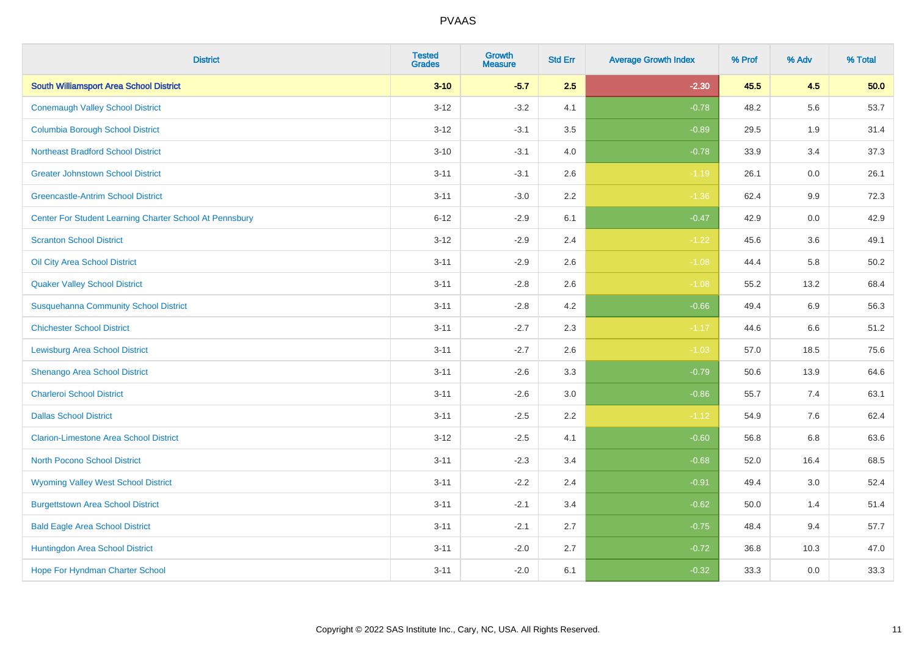| <b>District</b>                                         | <b>Tested</b><br><b>Grades</b> | <b>Growth</b><br><b>Measure</b> | <b>Std Err</b> | <b>Average Growth Index</b> | % Prof | % Adv   | % Total |
|---------------------------------------------------------|--------------------------------|---------------------------------|----------------|-----------------------------|--------|---------|---------|
| <b>South Williamsport Area School District</b>          | $3 - 10$                       | $-5.7$                          | 2.5            | $-2.30$                     | 45.5   | 4.5     | 50.0    |
| <b>Conemaugh Valley School District</b>                 | $3 - 12$                       | $-3.2$                          | 4.1            | $-0.78$                     | 48.2   | 5.6     | 53.7    |
| <b>Columbia Borough School District</b>                 | $3 - 12$                       | $-3.1$                          | 3.5            | $-0.89$                     | 29.5   | 1.9     | 31.4    |
| <b>Northeast Bradford School District</b>               | $3 - 10$                       | $-3.1$                          | 4.0            | $-0.78$                     | 33.9   | 3.4     | 37.3    |
| <b>Greater Johnstown School District</b>                | $3 - 11$                       | $-3.1$                          | 2.6            | $-1.19$                     | 26.1   | 0.0     | 26.1    |
| <b>Greencastle-Antrim School District</b>               | $3 - 11$                       | $-3.0$                          | 2.2            | $-1.36$                     | 62.4   | $9.9\,$ | 72.3    |
| Center For Student Learning Charter School At Pennsbury | $6 - 12$                       | $-2.9$                          | 6.1            | $-0.47$                     | 42.9   | 0.0     | 42.9    |
| <b>Scranton School District</b>                         | $3 - 12$                       | $-2.9$                          | 2.4            | $-1.22$                     | 45.6   | 3.6     | 49.1    |
| Oil City Area School District                           | $3 - 11$                       | $-2.9$                          | 2.6            | $-1.08$                     | 44.4   | 5.8     | 50.2    |
| <b>Quaker Valley School District</b>                    | $3 - 11$                       | $-2.8$                          | 2.6            | $-1.08$                     | 55.2   | 13.2    | 68.4    |
| <b>Susquehanna Community School District</b>            | $3 - 11$                       | $-2.8$                          | 4.2            | $-0.66$                     | 49.4   | 6.9     | 56.3    |
| <b>Chichester School District</b>                       | $3 - 11$                       | $-2.7$                          | 2.3            | $-1.17$                     | 44.6   | 6.6     | 51.2    |
| Lewisburg Area School District                          | $3 - 11$                       | $-2.7$                          | 2.6            | $-1.03$                     | 57.0   | 18.5    | 75.6    |
| Shenango Area School District                           | $3 - 11$                       | $-2.6$                          | 3.3            | $-0.79$                     | 50.6   | 13.9    | 64.6    |
| <b>Charleroi School District</b>                        | $3 - 11$                       | $-2.6$                          | 3.0            | $-0.86$                     | 55.7   | 7.4     | 63.1    |
| <b>Dallas School District</b>                           | $3 - 11$                       | $-2.5$                          | 2.2            | $-1.12$                     | 54.9   | 7.6     | 62.4    |
| <b>Clarion-Limestone Area School District</b>           | $3 - 12$                       | $-2.5$                          | 4.1            | $-0.60$                     | 56.8   | 6.8     | 63.6    |
| <b>North Pocono School District</b>                     | $3 - 11$                       | $-2.3$                          | 3.4            | $-0.68$                     | 52.0   | 16.4    | 68.5    |
| <b>Wyoming Valley West School District</b>              | $3 - 11$                       | $-2.2$                          | 2.4            | $-0.91$                     | 49.4   | 3.0     | 52.4    |
| <b>Burgettstown Area School District</b>                | $3 - 11$                       | $-2.1$                          | 3.4            | $-0.62$                     | 50.0   | 1.4     | 51.4    |
| <b>Bald Eagle Area School District</b>                  | $3 - 11$                       | $-2.1$                          | 2.7            | $-0.75$                     | 48.4   | 9.4     | 57.7    |
| Huntingdon Area School District                         | $3 - 11$                       | $-2.0$                          | 2.7            | $-0.72$                     | 36.8   | 10.3    | 47.0    |
| Hope For Hyndman Charter School                         | $3 - 11$                       | $-2.0$                          | 6.1            | $-0.32$                     | 33.3   | 0.0     | 33.3    |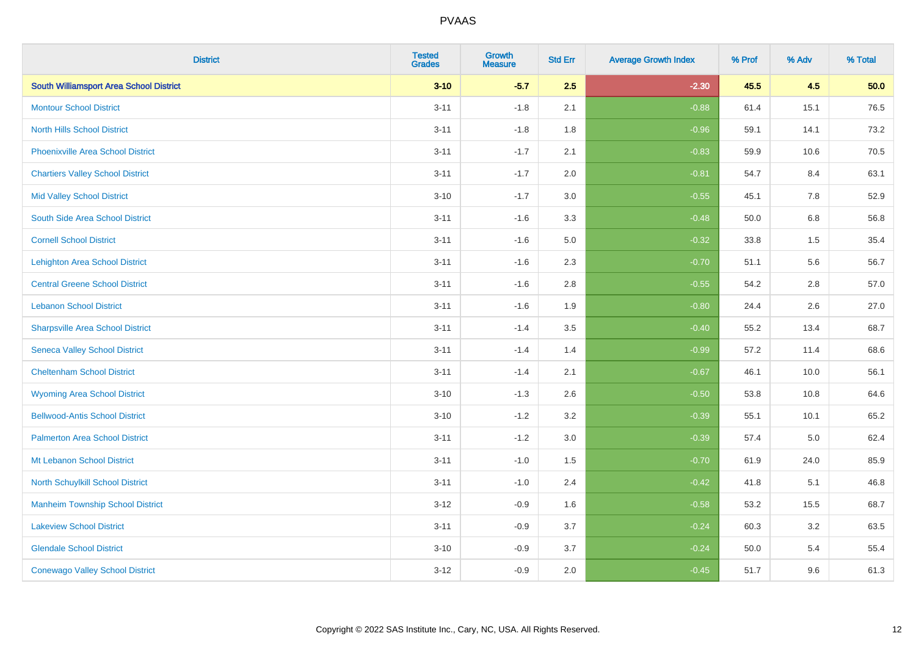| <b>District</b>                                | <b>Tested</b><br><b>Grades</b> | <b>Growth</b><br><b>Measure</b> | <b>Std Err</b> | <b>Average Growth Index</b> | % Prof | % Adv   | % Total |
|------------------------------------------------|--------------------------------|---------------------------------|----------------|-----------------------------|--------|---------|---------|
| <b>South Williamsport Area School District</b> | $3 - 10$                       | $-5.7$                          | 2.5            | $-2.30$                     | 45.5   | 4.5     | 50.0    |
| <b>Montour School District</b>                 | $3 - 11$                       | $-1.8$                          | 2.1            | $-0.88$                     | 61.4   | 15.1    | 76.5    |
| <b>North Hills School District</b>             | $3 - 11$                       | $-1.8$                          | 1.8            | $-0.96$                     | 59.1   | 14.1    | 73.2    |
| <b>Phoenixville Area School District</b>       | $3 - 11$                       | $-1.7$                          | 2.1            | $-0.83$                     | 59.9   | 10.6    | 70.5    |
| <b>Chartiers Valley School District</b>        | $3 - 11$                       | $-1.7$                          | 2.0            | $-0.81$                     | 54.7   | 8.4     | 63.1    |
| <b>Mid Valley School District</b>              | $3 - 10$                       | $-1.7$                          | 3.0            | $-0.55$                     | 45.1   | 7.8     | 52.9    |
| South Side Area School District                | $3 - 11$                       | $-1.6$                          | 3.3            | $-0.48$                     | 50.0   | $6.8\,$ | 56.8    |
| <b>Cornell School District</b>                 | $3 - 11$                       | $-1.6$                          | 5.0            | $-0.32$                     | 33.8   | 1.5     | 35.4    |
| <b>Lehighton Area School District</b>          | $3 - 11$                       | $-1.6$                          | 2.3            | $-0.70$                     | 51.1   | 5.6     | 56.7    |
| <b>Central Greene School District</b>          | $3 - 11$                       | $-1.6$                          | 2.8            | $-0.55$                     | 54.2   | 2.8     | 57.0    |
| <b>Lebanon School District</b>                 | $3 - 11$                       | $-1.6$                          | 1.9            | $-0.80$                     | 24.4   | 2.6     | 27.0    |
| <b>Sharpsville Area School District</b>        | $3 - 11$                       | $-1.4$                          | 3.5            | $-0.40$                     | 55.2   | 13.4    | 68.7    |
| <b>Seneca Valley School District</b>           | $3 - 11$                       | $-1.4$                          | 1.4            | $-0.99$                     | 57.2   | 11.4    | 68.6    |
| <b>Cheltenham School District</b>              | $3 - 11$                       | $-1.4$                          | 2.1            | $-0.67$                     | 46.1   | 10.0    | 56.1    |
| <b>Wyoming Area School District</b>            | $3 - 10$                       | $-1.3$                          | 2.6            | $-0.50$                     | 53.8   | 10.8    | 64.6    |
| <b>Bellwood-Antis School District</b>          | $3 - 10$                       | $-1.2$                          | 3.2            | $-0.39$                     | 55.1   | 10.1    | 65.2    |
| <b>Palmerton Area School District</b>          | $3 - 11$                       | $-1.2$                          | 3.0            | $-0.39$                     | 57.4   | 5.0     | 62.4    |
| Mt Lebanon School District                     | $3 - 11$                       | $-1.0$                          | 1.5            | $-0.70$                     | 61.9   | 24.0    | 85.9    |
| <b>North Schuylkill School District</b>        | $3 - 11$                       | $-1.0$                          | 2.4            | $-0.42$                     | 41.8   | 5.1     | 46.8    |
| <b>Manheim Township School District</b>        | $3 - 12$                       | $-0.9$                          | 1.6            | $-0.58$                     | 53.2   | 15.5    | 68.7    |
| <b>Lakeview School District</b>                | $3 - 11$                       | $-0.9$                          | 3.7            | $-0.24$                     | 60.3   | 3.2     | 63.5    |
| <b>Glendale School District</b>                | $3 - 10$                       | $-0.9$                          | 3.7            | $-0.24$                     | 50.0   | 5.4     | 55.4    |
| <b>Conewago Valley School District</b>         | $3-12$                         | $-0.9$                          | 2.0            | $-0.45$                     | 51.7   | 9.6     | 61.3    |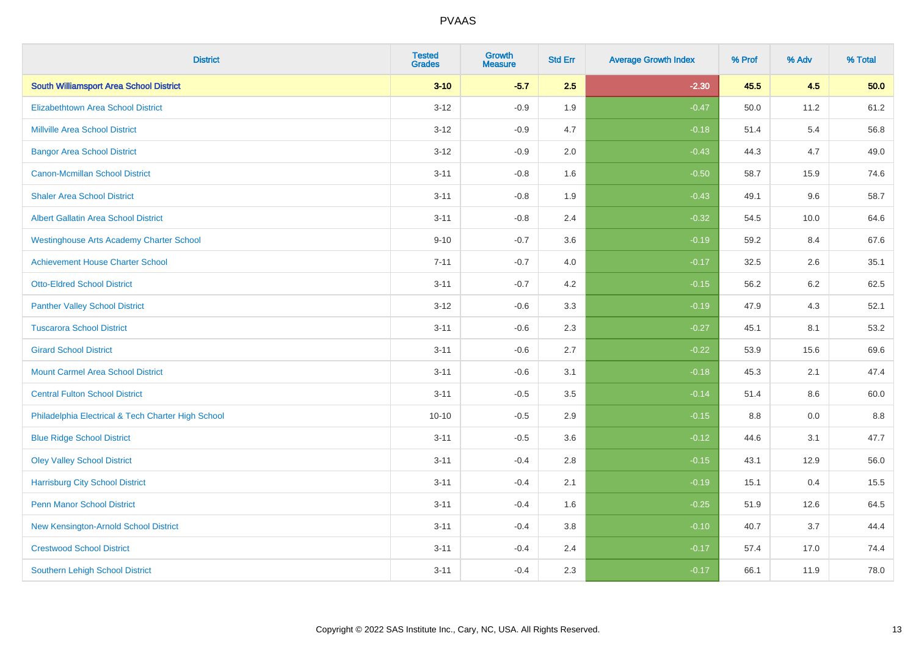| <b>District</b>                                    | <b>Tested</b><br><b>Grades</b> | <b>Growth</b><br><b>Measure</b> | <b>Std Err</b> | <b>Average Growth Index</b> | % Prof | % Adv   | % Total |
|----------------------------------------------------|--------------------------------|---------------------------------|----------------|-----------------------------|--------|---------|---------|
| <b>South Williamsport Area School District</b>     | $3 - 10$                       | $-5.7$                          | 2.5            | $-2.30$                     | 45.5   | 4.5     | 50.0    |
| <b>Elizabethtown Area School District</b>          | $3 - 12$                       | $-0.9$                          | 1.9            | $-0.47$                     | 50.0   | 11.2    | 61.2    |
| <b>Millville Area School District</b>              | $3 - 12$                       | $-0.9$                          | 4.7            | $-0.18$                     | 51.4   | 5.4     | 56.8    |
| <b>Bangor Area School District</b>                 | $3 - 12$                       | $-0.9$                          | 2.0            | $-0.43$                     | 44.3   | 4.7     | 49.0    |
| <b>Canon-Mcmillan School District</b>              | $3 - 11$                       | $-0.8$                          | 1.6            | $-0.50$                     | 58.7   | 15.9    | 74.6    |
| <b>Shaler Area School District</b>                 | $3 - 11$                       | $-0.8$                          | 1.9            | $-0.43$                     | 49.1   | 9.6     | 58.7    |
| <b>Albert Gallatin Area School District</b>        | $3 - 11$                       | $-0.8$                          | 2.4            | $-0.32$                     | 54.5   | 10.0    | 64.6    |
| <b>Westinghouse Arts Academy Charter School</b>    | $9 - 10$                       | $-0.7$                          | 3.6            | $-0.19$                     | 59.2   | 8.4     | 67.6    |
| <b>Achievement House Charter School</b>            | $7 - 11$                       | $-0.7$                          | 4.0            | $-0.17$                     | 32.5   | 2.6     | 35.1    |
| <b>Otto-Eldred School District</b>                 | $3 - 11$                       | $-0.7$                          | 4.2            | $-0.15$                     | 56.2   | $6.2\,$ | 62.5    |
| <b>Panther Valley School District</b>              | $3 - 12$                       | $-0.6$                          | 3.3            | $-0.19$                     | 47.9   | 4.3     | 52.1    |
| <b>Tuscarora School District</b>                   | $3 - 11$                       | $-0.6$                          | 2.3            | $-0.27$                     | 45.1   | 8.1     | 53.2    |
| <b>Girard School District</b>                      | $3 - 11$                       | $-0.6$                          | 2.7            | $-0.22$                     | 53.9   | 15.6    | 69.6    |
| <b>Mount Carmel Area School District</b>           | $3 - 11$                       | $-0.6$                          | 3.1            | $-0.18$                     | 45.3   | 2.1     | 47.4    |
| <b>Central Fulton School District</b>              | $3 - 11$                       | $-0.5$                          | 3.5            | $-0.14$                     | 51.4   | 8.6     | 60.0    |
| Philadelphia Electrical & Tech Charter High School | $10 - 10$                      | $-0.5$                          | 2.9            | $-0.15$                     | 8.8    | 0.0     | 8.8     |
| <b>Blue Ridge School District</b>                  | $3 - 11$                       | $-0.5$                          | 3.6            | $-0.12$                     | 44.6   | 3.1     | 47.7    |
| <b>Oley Valley School District</b>                 | $3 - 11$                       | $-0.4$                          | 2.8            | $-0.15$                     | 43.1   | 12.9    | 56.0    |
| <b>Harrisburg City School District</b>             | $3 - 11$                       | $-0.4$                          | 2.1            | $-0.19$                     | 15.1   | 0.4     | 15.5    |
| <b>Penn Manor School District</b>                  | $3 - 11$                       | $-0.4$                          | 1.6            | $-0.25$                     | 51.9   | 12.6    | 64.5    |
| New Kensington-Arnold School District              | $3 - 11$                       | $-0.4$                          | 3.8            | $-0.10$                     | 40.7   | 3.7     | 44.4    |
| <b>Crestwood School District</b>                   | $3 - 11$                       | $-0.4$                          | 2.4            | $-0.17$                     | 57.4   | 17.0    | 74.4    |
| <b>Southern Lehigh School District</b>             | $3 - 11$                       | $-0.4$                          | 2.3            | $-0.17$                     | 66.1   | 11.9    | 78.0    |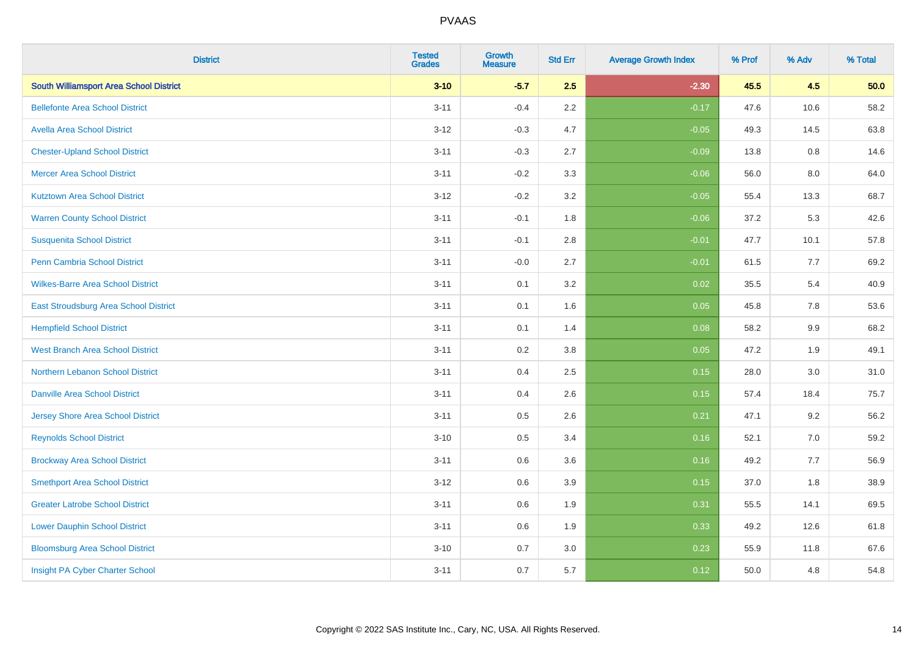| <b>District</b>                                | <b>Tested</b><br><b>Grades</b> | <b>Growth</b><br><b>Measure</b> | <b>Std Err</b> | <b>Average Growth Index</b> | % Prof | % Adv | % Total |
|------------------------------------------------|--------------------------------|---------------------------------|----------------|-----------------------------|--------|-------|---------|
| <b>South Williamsport Area School District</b> | $3 - 10$                       | $-5.7$                          | 2.5            | $-2.30$                     | 45.5   | 4.5   | 50.0    |
| <b>Bellefonte Area School District</b>         | $3 - 11$                       | $-0.4$                          | $2.2\,$        | $-0.17$                     | 47.6   | 10.6  | 58.2    |
| <b>Avella Area School District</b>             | $3 - 12$                       | $-0.3$                          | 4.7            | $-0.05$                     | 49.3   | 14.5  | 63.8    |
| <b>Chester-Upland School District</b>          | $3 - 11$                       | $-0.3$                          | 2.7            | $-0.09$                     | 13.8   | 0.8   | 14.6    |
| <b>Mercer Area School District</b>             | $3 - 11$                       | $-0.2$                          | 3.3            | $-0.06$                     | 56.0   | 8.0   | 64.0    |
| <b>Kutztown Area School District</b>           | $3 - 12$                       | $-0.2$                          | 3.2            | $-0.05$                     | 55.4   | 13.3  | 68.7    |
| <b>Warren County School District</b>           | $3 - 11$                       | $-0.1$                          | 1.8            | $-0.06$                     | 37.2   | 5.3   | 42.6    |
| <b>Susquenita School District</b>              | $3 - 11$                       | $-0.1$                          | 2.8            | $-0.01$                     | 47.7   | 10.1  | 57.8    |
| Penn Cambria School District                   | $3 - 11$                       | $-0.0$                          | 2.7            | $-0.01$                     | 61.5   | 7.7   | 69.2    |
| <b>Wilkes-Barre Area School District</b>       | $3 - 11$                       | 0.1                             | 3.2            | 0.02                        | 35.5   | 5.4   | 40.9    |
| East Stroudsburg Area School District          | $3 - 11$                       | 0.1                             | 1.6            | 0.05                        | 45.8   | 7.8   | 53.6    |
| <b>Hempfield School District</b>               | $3 - 11$                       | 0.1                             | 1.4            | 0.08                        | 58.2   | 9.9   | 68.2    |
| <b>West Branch Area School District</b>        | $3 - 11$                       | 0.2                             | $3.8\,$        | 0.05                        | 47.2   | 1.9   | 49.1    |
| Northern Lebanon School District               | $3 - 11$                       | 0.4                             | 2.5            | 0.15                        | 28.0   | 3.0   | 31.0    |
| <b>Danville Area School District</b>           | $3 - 11$                       | 0.4                             | 2.6            | 0.15                        | 57.4   | 18.4  | 75.7    |
| <b>Jersey Shore Area School District</b>       | $3 - 11$                       | 0.5                             | 2.6            | 0.21                        | 47.1   | 9.2   | 56.2    |
| <b>Reynolds School District</b>                | $3 - 10$                       | 0.5                             | 3.4            | 0.16                        | 52.1   | 7.0   | 59.2    |
| <b>Brockway Area School District</b>           | $3 - 11$                       | 0.6                             | 3.6            | 0.16                        | 49.2   | 7.7   | 56.9    |
| <b>Smethport Area School District</b>          | $3 - 12$                       | 0.6                             | 3.9            | 0.15                        | 37.0   | 1.8   | 38.9    |
| <b>Greater Latrobe School District</b>         | $3 - 11$                       | 0.6                             | 1.9            | 0.31                        | 55.5   | 14.1  | 69.5    |
| <b>Lower Dauphin School District</b>           | $3 - 11$                       | 0.6                             | 1.9            | 0.33                        | 49.2   | 12.6  | 61.8    |
| <b>Bloomsburg Area School District</b>         | $3 - 10$                       | 0.7                             | 3.0            | 0.23                        | 55.9   | 11.8  | 67.6    |
| Insight PA Cyber Charter School                | $3 - 11$                       | 0.7                             | 5.7            | 0.12                        | 50.0   | 4.8   | 54.8    |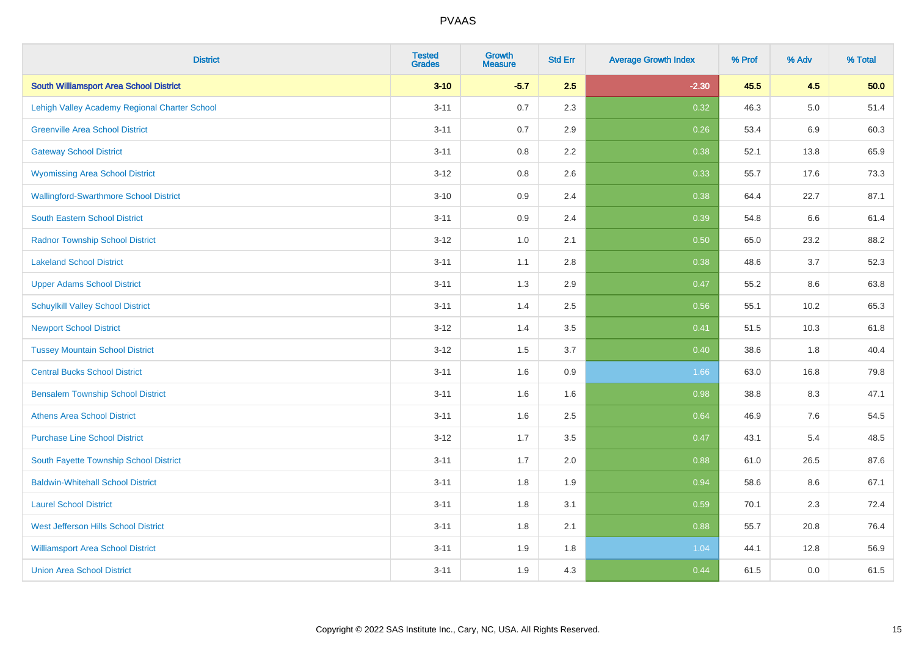| <b>District</b>                                | <b>Tested</b><br><b>Grades</b> | Growth<br><b>Measure</b> | <b>Std Err</b> | <b>Average Growth Index</b> | % Prof | % Adv   | % Total |
|------------------------------------------------|--------------------------------|--------------------------|----------------|-----------------------------|--------|---------|---------|
| <b>South Williamsport Area School District</b> | $3 - 10$                       | $-5.7$                   | 2.5            | $-2.30$                     | 45.5   | 4.5     | 50.0    |
| Lehigh Valley Academy Regional Charter School  | $3 - 11$                       | 0.7                      | 2.3            | 0.32                        | 46.3   | $5.0\,$ | 51.4    |
| <b>Greenville Area School District</b>         | $3 - 11$                       | 0.7                      | 2.9            | 0.26                        | 53.4   | 6.9     | 60.3    |
| <b>Gateway School District</b>                 | $3 - 11$                       | 0.8                      | 2.2            | 0.38                        | 52.1   | 13.8    | 65.9    |
| <b>Wyomissing Area School District</b>         | $3 - 12$                       | 0.8                      | 2.6            | 0.33                        | 55.7   | 17.6    | 73.3    |
| <b>Wallingford-Swarthmore School District</b>  | $3 - 10$                       | 0.9                      | 2.4            | 0.38                        | 64.4   | 22.7    | 87.1    |
| South Eastern School District                  | $3 - 11$                       | 0.9                      | 2.4            | 0.39                        | 54.8   | 6.6     | 61.4    |
| <b>Radnor Township School District</b>         | $3 - 12$                       | 1.0                      | 2.1            | 0.50                        | 65.0   | 23.2    | 88.2    |
| <b>Lakeland School District</b>                | $3 - 11$                       | 1.1                      | 2.8            | 0.38                        | 48.6   | 3.7     | 52.3    |
| <b>Upper Adams School District</b>             | $3 - 11$                       | 1.3                      | 2.9            | 0.47                        | 55.2   | 8.6     | 63.8    |
| <b>Schuylkill Valley School District</b>       | $3 - 11$                       | 1.4                      | 2.5            | 0.56                        | 55.1   | 10.2    | 65.3    |
| <b>Newport School District</b>                 | $3 - 12$                       | 1.4                      | 3.5            | 0.41                        | 51.5   | 10.3    | 61.8    |
| <b>Tussey Mountain School District</b>         | $3 - 12$                       | 1.5                      | 3.7            | 0.40                        | 38.6   | 1.8     | 40.4    |
| <b>Central Bucks School District</b>           | $3 - 11$                       | 1.6                      | 0.9            | 1.66                        | 63.0   | 16.8    | 79.8    |
| <b>Bensalem Township School District</b>       | $3 - 11$                       | 1.6                      | 1.6            | 0.98                        | 38.8   | 8.3     | 47.1    |
| <b>Athens Area School District</b>             | $3 - 11$                       | 1.6                      | 2.5            | 0.64                        | 46.9   | 7.6     | 54.5    |
| <b>Purchase Line School District</b>           | $3 - 12$                       | 1.7                      | 3.5            | 0.47                        | 43.1   | 5.4     | 48.5    |
| South Fayette Township School District         | $3 - 11$                       | 1.7                      | 2.0            | 0.88                        | 61.0   | 26.5    | 87.6    |
| <b>Baldwin-Whitehall School District</b>       | $3 - 11$                       | 1.8                      | 1.9            | 0.94                        | 58.6   | 8.6     | 67.1    |
| <b>Laurel School District</b>                  | $3 - 11$                       | 1.8                      | 3.1            | 0.59                        | 70.1   | 2.3     | 72.4    |
| <b>West Jefferson Hills School District</b>    | $3 - 11$                       | 1.8                      | 2.1            | 0.88                        | 55.7   | 20.8    | 76.4    |
| <b>Williamsport Area School District</b>       | $3 - 11$                       | 1.9                      | 1.8            | 1.04                        | 44.1   | 12.8    | 56.9    |
| <b>Union Area School District</b>              | $3 - 11$                       | 1.9                      | 4.3            | 0.44                        | 61.5   | 0.0     | 61.5    |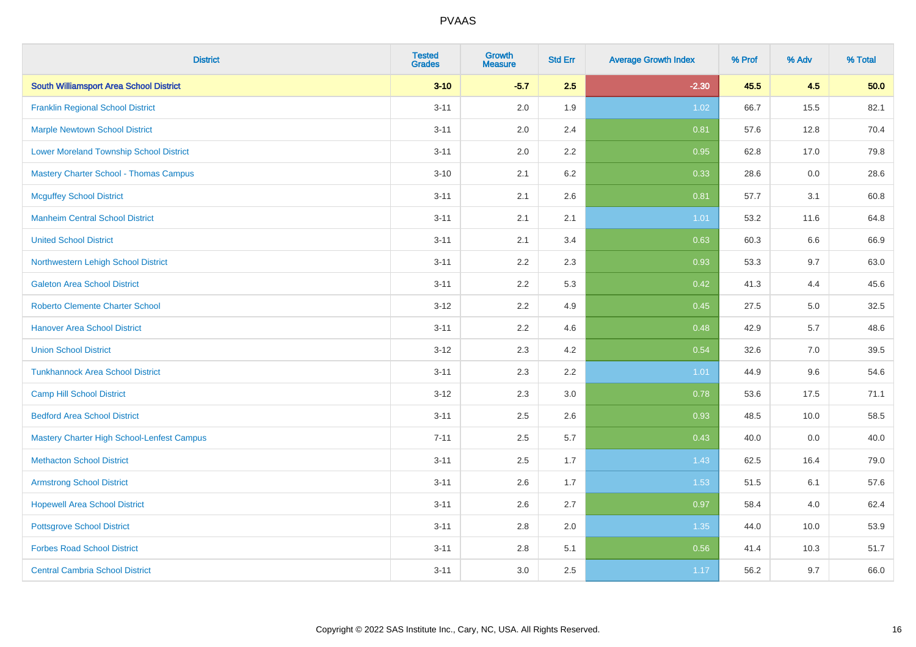| <b>District</b>                                | <b>Tested</b><br><b>Grades</b> | <b>Growth</b><br><b>Measure</b> | <b>Std Err</b> | <b>Average Growth Index</b> | % Prof | % Adv | % Total |
|------------------------------------------------|--------------------------------|---------------------------------|----------------|-----------------------------|--------|-------|---------|
| <b>South Williamsport Area School District</b> | $3 - 10$                       | $-5.7$                          | 2.5            | $-2.30$                     | 45.5   | 4.5   | 50.0    |
| <b>Franklin Regional School District</b>       | $3 - 11$                       | 2.0                             | 1.9            | 1.02                        | 66.7   | 15.5  | 82.1    |
| <b>Marple Newtown School District</b>          | $3 - 11$                       | 2.0                             | 2.4            | 0.81                        | 57.6   | 12.8  | 70.4    |
| <b>Lower Moreland Township School District</b> | $3 - 11$                       | 2.0                             | 2.2            | 0.95                        | 62.8   | 17.0  | 79.8    |
| <b>Mastery Charter School - Thomas Campus</b>  | $3 - 10$                       | 2.1                             | 6.2            | 0.33                        | 28.6   | 0.0   | 28.6    |
| <b>Mcguffey School District</b>                | $3 - 11$                       | 2.1                             | 2.6            | 0.81                        | 57.7   | 3.1   | 60.8    |
| <b>Manheim Central School District</b>         | $3 - 11$                       | 2.1                             | 2.1            | 1.01                        | 53.2   | 11.6  | 64.8    |
| <b>United School District</b>                  | $3 - 11$                       | 2.1                             | 3.4            | 0.63                        | 60.3   | 6.6   | 66.9    |
| Northwestern Lehigh School District            | $3 - 11$                       | 2.2                             | 2.3            | 0.93                        | 53.3   | 9.7   | 63.0    |
| <b>Galeton Area School District</b>            | $3 - 11$                       | 2.2                             | 5.3            | 0.42                        | 41.3   | 4.4   | 45.6    |
| <b>Roberto Clemente Charter School</b>         | $3 - 12$                       | 2.2                             | 4.9            | 0.45                        | 27.5   | 5.0   | 32.5    |
| <b>Hanover Area School District</b>            | $3 - 11$                       | 2.2                             | 4.6            | 0.48                        | 42.9   | 5.7   | 48.6    |
| <b>Union School District</b>                   | $3 - 12$                       | 2.3                             | 4.2            | 0.54                        | 32.6   | 7.0   | 39.5    |
| <b>Tunkhannock Area School District</b>        | $3 - 11$                       | 2.3                             | 2.2            | 1.01                        | 44.9   | 9.6   | 54.6    |
| <b>Camp Hill School District</b>               | $3 - 12$                       | 2.3                             | 3.0            | 0.78                        | 53.6   | 17.5  | 71.1    |
| <b>Bedford Area School District</b>            | $3 - 11$                       | 2.5                             | 2.6            | 0.93                        | 48.5   | 10.0  | 58.5    |
| Mastery Charter High School-Lenfest Campus     | $7 - 11$                       | 2.5                             | 5.7            | 0.43                        | 40.0   | 0.0   | 40.0    |
| <b>Methacton School District</b>               | $3 - 11$                       | 2.5                             | 1.7            | 1.43                        | 62.5   | 16.4  | 79.0    |
| <b>Armstrong School District</b>               | $3 - 11$                       | 2.6                             | 1.7            | 1.53                        | 51.5   | 6.1   | 57.6    |
| <b>Hopewell Area School District</b>           | $3 - 11$                       | 2.6                             | 2.7            | 0.97                        | 58.4   | 4.0   | 62.4    |
| <b>Pottsgrove School District</b>              | $3 - 11$                       | 2.8                             | 2.0            | 1.35                        | 44.0   | 10.0  | 53.9    |
| <b>Forbes Road School District</b>             | $3 - 11$                       | 2.8                             | 5.1            | 0.56                        | 41.4   | 10.3  | 51.7    |
| <b>Central Cambria School District</b>         | $3 - 11$                       | 3.0                             | 2.5            | 1.17                        | 56.2   | 9.7   | 66.0    |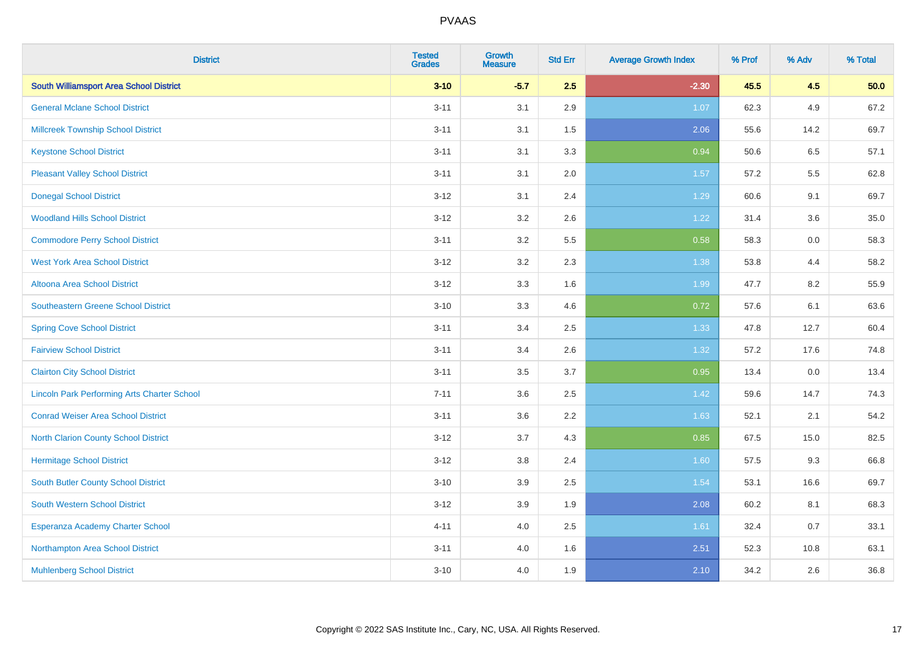| <b>District</b>                                    | <b>Tested</b><br><b>Grades</b> | <b>Growth</b><br><b>Measure</b> | <b>Std Err</b> | <b>Average Growth Index</b> | % Prof | % Adv | % Total |
|----------------------------------------------------|--------------------------------|---------------------------------|----------------|-----------------------------|--------|-------|---------|
| <b>South Williamsport Area School District</b>     | $3 - 10$                       | $-5.7$                          | 2.5            | $-2.30$                     | 45.5   | 4.5   | 50.0    |
| <b>General Mclane School District</b>              | $3 - 11$                       | 3.1                             | 2.9            | 1.07                        | 62.3   | 4.9   | 67.2    |
| <b>Millcreek Township School District</b>          | $3 - 11$                       | 3.1                             | 1.5            | 2.06                        | 55.6   | 14.2  | 69.7    |
| <b>Keystone School District</b>                    | $3 - 11$                       | 3.1                             | 3.3            | 0.94                        | 50.6   | 6.5   | 57.1    |
| <b>Pleasant Valley School District</b>             | $3 - 11$                       | 3.1                             | 2.0            | 1.57                        | 57.2   | 5.5   | 62.8    |
| <b>Donegal School District</b>                     | $3 - 12$                       | 3.1                             | 2.4            | 1.29                        | 60.6   | 9.1   | 69.7    |
| <b>Woodland Hills School District</b>              | $3 - 12$                       | 3.2                             | 2.6            | 1.22                        | 31.4   | 3.6   | 35.0    |
| <b>Commodore Perry School District</b>             | $3 - 11$                       | 3.2                             | 5.5            | 0.58                        | 58.3   | 0.0   | 58.3    |
| <b>West York Area School District</b>              | $3 - 12$                       | 3.2                             | 2.3            | 1.38                        | 53.8   | 4.4   | 58.2    |
| Altoona Area School District                       | $3 - 12$                       | 3.3                             | 1.6            | 1.99                        | 47.7   | 8.2   | 55.9    |
| Southeastern Greene School District                | $3 - 10$                       | 3.3                             | 4.6            | 0.72                        | 57.6   | 6.1   | 63.6    |
| <b>Spring Cove School District</b>                 | $3 - 11$                       | 3.4                             | 2.5            | 1.33                        | 47.8   | 12.7  | 60.4    |
| <b>Fairview School District</b>                    | $3 - 11$                       | 3.4                             | 2.6            | 1.32                        | 57.2   | 17.6  | 74.8    |
| <b>Clairton City School District</b>               | $3 - 11$                       | 3.5                             | 3.7            | 0.95                        | 13.4   | 0.0   | 13.4    |
| <b>Lincoln Park Performing Arts Charter School</b> | $7 - 11$                       | 3.6                             | 2.5            | 1.42                        | 59.6   | 14.7  | 74.3    |
| <b>Conrad Weiser Area School District</b>          | $3 - 11$                       | 3.6                             | 2.2            | 1.63                        | 52.1   | 2.1   | 54.2    |
| <b>North Clarion County School District</b>        | $3 - 12$                       | 3.7                             | 4.3            | 0.85                        | 67.5   | 15.0  | 82.5    |
| <b>Hermitage School District</b>                   | $3 - 12$                       | $3.8\,$                         | 2.4            | 1.60                        | 57.5   | 9.3   | 66.8    |
| South Butler County School District                | $3 - 10$                       | 3.9                             | 2.5            | 1.54                        | 53.1   | 16.6  | 69.7    |
| <b>South Western School District</b>               | $3 - 12$                       | 3.9                             | 1.9            | 2.08                        | 60.2   | 8.1   | 68.3    |
| Esperanza Academy Charter School                   | $4 - 11$                       | 4.0                             | 2.5            | 1.61                        | 32.4   | 0.7   | 33.1    |
| Northampton Area School District                   | $3 - 11$                       | 4.0                             | 1.6            | 2.51                        | 52.3   | 10.8  | 63.1    |
| <b>Muhlenberg School District</b>                  | $3 - 10$                       | 4.0                             | 1.9            | 2.10                        | 34.2   | 2.6   | 36.8    |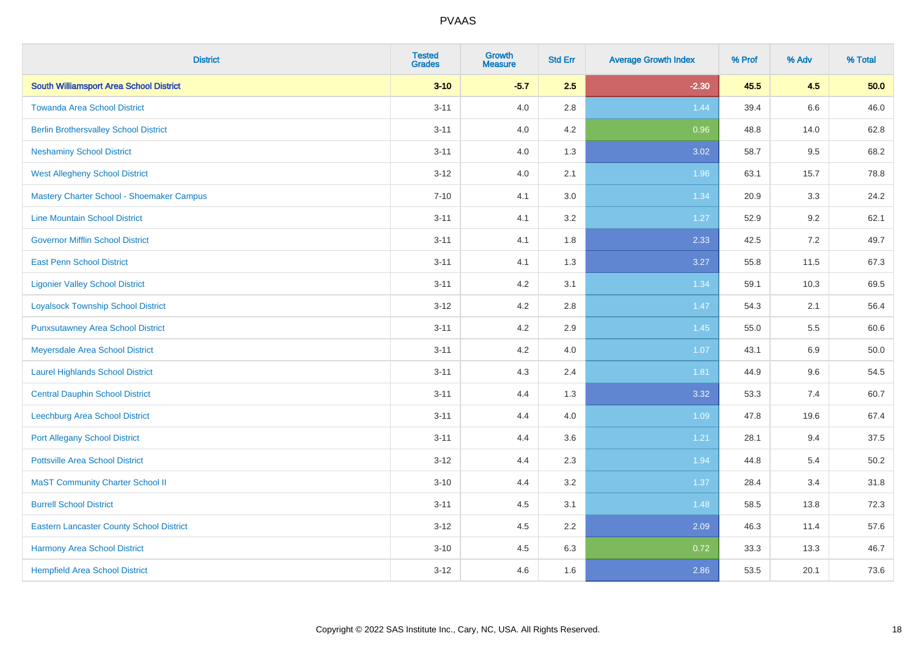| <b>District</b>                                 | <b>Tested</b><br><b>Grades</b> | <b>Growth</b><br><b>Measure</b> | <b>Std Err</b> | <b>Average Growth Index</b> | % Prof | % Adv   | % Total  |
|-------------------------------------------------|--------------------------------|---------------------------------|----------------|-----------------------------|--------|---------|----------|
| <b>South Williamsport Area School District</b>  | $3 - 10$                       | $-5.7$                          | 2.5            | $-2.30$                     | 45.5   | 4.5     | 50.0     |
| <b>Towanda Area School District</b>             | $3 - 11$                       | 4.0                             | 2.8            | 1.44                        | 39.4   | $6.6\,$ | 46.0     |
| <b>Berlin Brothersvalley School District</b>    | $3 - 11$                       | 4.0                             | 4.2            | 0.96                        | 48.8   | 14.0    | 62.8     |
| <b>Neshaminy School District</b>                | $3 - 11$                       | 4.0                             | 1.3            | 3.02                        | 58.7   | 9.5     | 68.2     |
| <b>West Allegheny School District</b>           | $3 - 12$                       | 4.0                             | 2.1            | 1.96                        | 63.1   | 15.7    | 78.8     |
| Mastery Charter School - Shoemaker Campus       | $7 - 10$                       | 4.1                             | 3.0            | 1.34                        | 20.9   | 3.3     | 24.2     |
| <b>Line Mountain School District</b>            | $3 - 11$                       | 4.1                             | 3.2            | 1.27                        | 52.9   | 9.2     | 62.1     |
| <b>Governor Mifflin School District</b>         | $3 - 11$                       | 4.1                             | 1.8            | 2.33                        | 42.5   | 7.2     | 49.7     |
| <b>East Penn School District</b>                | $3 - 11$                       | 4.1                             | 1.3            | 3.27                        | 55.8   | 11.5    | 67.3     |
| <b>Ligonier Valley School District</b>          | $3 - 11$                       | 4.2                             | 3.1            | 1.34                        | 59.1   | 10.3    | 69.5     |
| <b>Loyalsock Township School District</b>       | $3 - 12$                       | 4.2                             | 2.8            | 1.47                        | 54.3   | 2.1     | 56.4     |
| <b>Punxsutawney Area School District</b>        | $3 - 11$                       | 4.2                             | 2.9            | 1.45                        | 55.0   | 5.5     | 60.6     |
| Meyersdale Area School District                 | $3 - 11$                       | 4.2                             | 4.0            | 1.07                        | 43.1   | 6.9     | 50.0     |
| <b>Laurel Highlands School District</b>         | $3 - 11$                       | 4.3                             | 2.4            | 1.81                        | 44.9   | 9.6     | 54.5     |
| <b>Central Dauphin School District</b>          | $3 - 11$                       | 4.4                             | 1.3            | 3.32                        | 53.3   | 7.4     | 60.7     |
| Leechburg Area School District                  | $3 - 11$                       | 4.4                             | 4.0            | 1.09                        | 47.8   | 19.6    | 67.4     |
| <b>Port Allegany School District</b>            | $3 - 11$                       | 4.4                             | 3.6            | 1.21                        | 28.1   | 9.4     | 37.5     |
| <b>Pottsville Area School District</b>          | $3 - 12$                       | 4.4                             | 2.3            | 1.94                        | 44.8   | 5.4     | $50.2\,$ |
| <b>MaST Community Charter School II</b>         | $3 - 10$                       | 4.4                             | 3.2            | 1.37                        | 28.4   | 3.4     | 31.8     |
| <b>Burrell School District</b>                  | $3 - 11$                       | 4.5                             | 3.1            | 1.48                        | 58.5   | 13.8    | 72.3     |
| <b>Eastern Lancaster County School District</b> | $3 - 12$                       | 4.5                             | 2.2            | 2.09                        | 46.3   | 11.4    | 57.6     |
| Harmony Area School District                    | $3 - 10$                       | 4.5                             | 6.3            | 0.72                        | 33.3   | 13.3    | 46.7     |
| <b>Hempfield Area School District</b>           | $3 - 12$                       | 4.6                             | 1.6            | 2.86                        | 53.5   | 20.1    | 73.6     |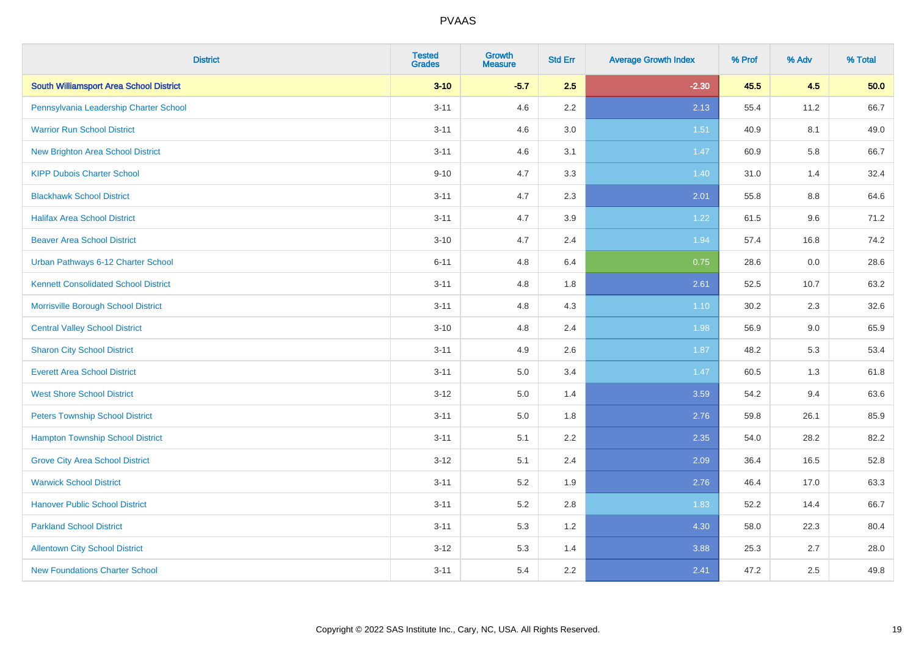| <b>District</b>                                | <b>Tested</b><br><b>Grades</b> | <b>Growth</b><br><b>Measure</b> | <b>Std Err</b> | <b>Average Growth Index</b> | % Prof | % Adv | % Total |
|------------------------------------------------|--------------------------------|---------------------------------|----------------|-----------------------------|--------|-------|---------|
| <b>South Williamsport Area School District</b> | $3 - 10$                       | $-5.7$                          | 2.5            | $-2.30$                     | 45.5   | 4.5   | 50.0    |
| Pennsylvania Leadership Charter School         | $3 - 11$                       | 4.6                             | $2.2\,$        | 2.13                        | 55.4   | 11.2  | 66.7    |
| <b>Warrior Run School District</b>             | $3 - 11$                       | 4.6                             | 3.0            | 1.51                        | 40.9   | 8.1   | 49.0    |
| <b>New Brighton Area School District</b>       | $3 - 11$                       | 4.6                             | 3.1            | 1.47                        | 60.9   | 5.8   | 66.7    |
| <b>KIPP Dubois Charter School</b>              | $9 - 10$                       | 4.7                             | 3.3            | 1.40                        | 31.0   | 1.4   | 32.4    |
| <b>Blackhawk School District</b>               | $3 - 11$                       | 4.7                             | 2.3            | 2.01                        | 55.8   | 8.8   | 64.6    |
| <b>Halifax Area School District</b>            | $3 - 11$                       | 4.7                             | 3.9            | 1.22                        | 61.5   | 9.6   | 71.2    |
| <b>Beaver Area School District</b>             | $3 - 10$                       | 4.7                             | 2.4            | 1.94                        | 57.4   | 16.8  | 74.2    |
| Urban Pathways 6-12 Charter School             | $6 - 11$                       | 4.8                             | 6.4            | 0.75                        | 28.6   | 0.0   | 28.6    |
| <b>Kennett Consolidated School District</b>    | $3 - 11$                       | 4.8                             | 1.8            | 2.61                        | 52.5   | 10.7  | 63.2    |
| Morrisville Borough School District            | $3 - 11$                       | 4.8                             | 4.3            | $1.10$                      | 30.2   | 2.3   | 32.6    |
| <b>Central Valley School District</b>          | $3 - 10$                       | 4.8                             | 2.4            | 1.98                        | 56.9   | 9.0   | 65.9    |
| <b>Sharon City School District</b>             | $3 - 11$                       | 4.9                             | 2.6            | 1.87                        | 48.2   | 5.3   | 53.4    |
| <b>Everett Area School District</b>            | $3 - 11$                       | $5.0\,$                         | 3.4            | 1.47                        | 60.5   | 1.3   | 61.8    |
| <b>West Shore School District</b>              | $3 - 12$                       | 5.0                             | 1.4            | 3.59                        | 54.2   | 9.4   | 63.6    |
| <b>Peters Township School District</b>         | $3 - 11$                       | 5.0                             | 1.8            | 2.76                        | 59.8   | 26.1  | 85.9    |
| <b>Hampton Township School District</b>        | $3 - 11$                       | 5.1                             | 2.2            | 2.35                        | 54.0   | 28.2  | 82.2    |
| <b>Grove City Area School District</b>         | $3 - 12$                       | 5.1                             | 2.4            | 2.09                        | 36.4   | 16.5  | 52.8    |
| <b>Warwick School District</b>                 | $3 - 11$                       | 5.2                             | 1.9            | 2.76                        | 46.4   | 17.0  | 63.3    |
| <b>Hanover Public School District</b>          | $3 - 11$                       | 5.2                             | 2.8            | 1.83                        | 52.2   | 14.4  | 66.7    |
| <b>Parkland School District</b>                | $3 - 11$                       | 5.3                             | 1.2            | 4.30                        | 58.0   | 22.3  | 80.4    |
| <b>Allentown City School District</b>          | $3 - 12$                       | 5.3                             | 1.4            | 3.88                        | 25.3   | 2.7   | 28.0    |
| <b>New Foundations Charter School</b>          | $3 - 11$                       | 5.4                             | 2.2            | 2.41                        | 47.2   | 2.5   | 49.8    |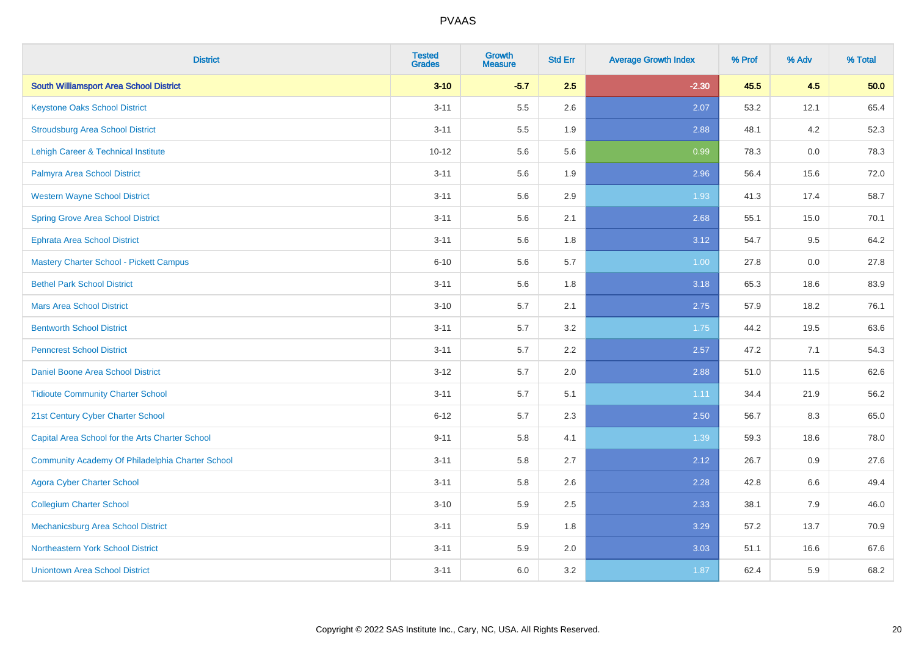| <b>District</b>                                  | <b>Tested</b><br><b>Grades</b> | <b>Growth</b><br><b>Measure</b> | <b>Std Err</b> | <b>Average Growth Index</b> | % Prof | % Adv | % Total |
|--------------------------------------------------|--------------------------------|---------------------------------|----------------|-----------------------------|--------|-------|---------|
| <b>South Williamsport Area School District</b>   | $3 - 10$                       | $-5.7$                          | 2.5            | $-2.30$                     | 45.5   | 4.5   | 50.0    |
| <b>Keystone Oaks School District</b>             | $3 - 11$                       | 5.5                             | 2.6            | 2.07                        | 53.2   | 12.1  | 65.4    |
| <b>Stroudsburg Area School District</b>          | $3 - 11$                       | 5.5                             | 1.9            | 2.88                        | 48.1   | 4.2   | 52.3    |
| Lehigh Career & Technical Institute              | $10 - 12$                      | 5.6                             | 5.6            | 0.99                        | 78.3   | 0.0   | 78.3    |
| Palmyra Area School District                     | $3 - 11$                       | 5.6                             | 1.9            | 2.96                        | 56.4   | 15.6  | 72.0    |
| <b>Western Wayne School District</b>             | $3 - 11$                       | 5.6                             | 2.9            | 1.93                        | 41.3   | 17.4  | 58.7    |
| <b>Spring Grove Area School District</b>         | $3 - 11$                       | 5.6                             | 2.1            | 2.68                        | 55.1   | 15.0  | 70.1    |
| <b>Ephrata Area School District</b>              | $3 - 11$                       | 5.6                             | 1.8            | 3.12                        | 54.7   | 9.5   | 64.2    |
| <b>Mastery Charter School - Pickett Campus</b>   | $6 - 10$                       | 5.6                             | 5.7            | 1.00                        | 27.8   | 0.0   | 27.8    |
| <b>Bethel Park School District</b>               | $3 - 11$                       | 5.6                             | 1.8            | 3.18                        | 65.3   | 18.6  | 83.9    |
| <b>Mars Area School District</b>                 | $3 - 10$                       | 5.7                             | 2.1            | 2.75                        | 57.9   | 18.2  | 76.1    |
| <b>Bentworth School District</b>                 | $3 - 11$                       | 5.7                             | 3.2            | 1.75                        | 44.2   | 19.5  | 63.6    |
| <b>Penncrest School District</b>                 | $3 - 11$                       | 5.7                             | 2.2            | 2.57                        | 47.2   | 7.1   | 54.3    |
| Daniel Boone Area School District                | $3 - 12$                       | 5.7                             | 2.0            | 2.88                        | 51.0   | 11.5  | 62.6    |
| <b>Tidioute Community Charter School</b>         | $3 - 11$                       | 5.7                             | 5.1            | 1.11                        | 34.4   | 21.9  | 56.2    |
| 21st Century Cyber Charter School                | $6 - 12$                       | 5.7                             | 2.3            | 2.50                        | 56.7   | 8.3   | 65.0    |
| Capital Area School for the Arts Charter School  | $9 - 11$                       | 5.8                             | 4.1            | 1.39                        | 59.3   | 18.6  | 78.0    |
| Community Academy Of Philadelphia Charter School | $3 - 11$                       | 5.8                             | 2.7            | 2.12                        | 26.7   | 0.9   | 27.6    |
| <b>Agora Cyber Charter School</b>                | $3 - 11$                       | 5.8                             | 2.6            | 2.28                        | 42.8   | 6.6   | 49.4    |
| <b>Collegium Charter School</b>                  | $3 - 10$                       | 5.9                             | 2.5            | 2.33                        | 38.1   | 7.9   | 46.0    |
| <b>Mechanicsburg Area School District</b>        | $3 - 11$                       | 5.9                             | 1.8            | 3.29                        | 57.2   | 13.7  | 70.9    |
| Northeastern York School District                | $3 - 11$                       | 5.9                             | 2.0            | 3.03                        | 51.1   | 16.6  | 67.6    |
| <b>Uniontown Area School District</b>            | $3 - 11$                       | 6.0                             | 3.2            | 1.87                        | 62.4   | 5.9   | 68.2    |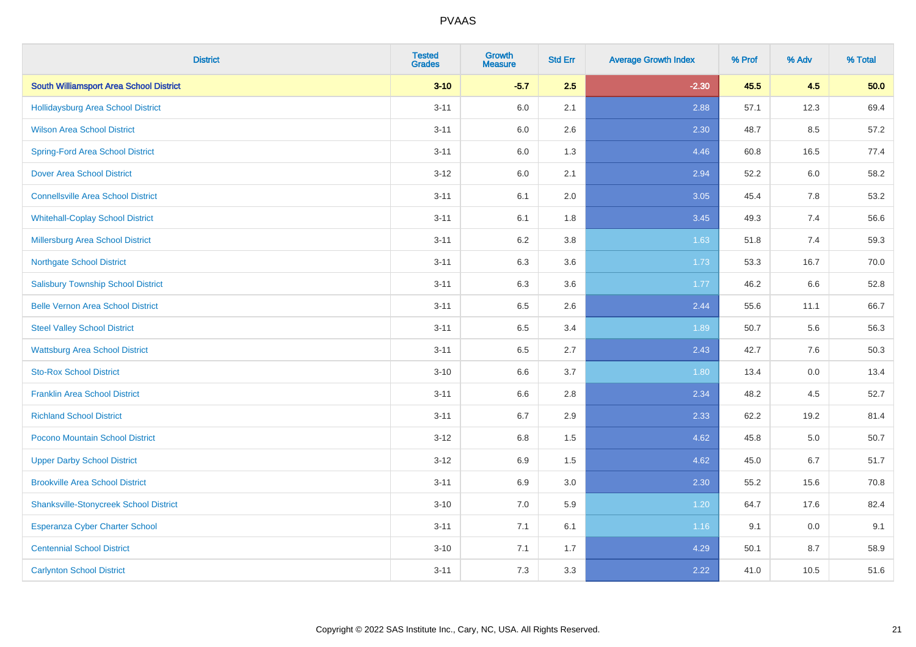| <b>District</b>                                | <b>Tested</b><br><b>Grades</b> | <b>Growth</b><br><b>Measure</b> | <b>Std Err</b> | <b>Average Growth Index</b> | % Prof | % Adv   | % Total |
|------------------------------------------------|--------------------------------|---------------------------------|----------------|-----------------------------|--------|---------|---------|
| <b>South Williamsport Area School District</b> | $3 - 10$                       | $-5.7$                          | 2.5            | $-2.30$                     | 45.5   | 4.5     | 50.0    |
| <b>Hollidaysburg Area School District</b>      | $3 - 11$                       | 6.0                             | 2.1            | 2.88                        | 57.1   | 12.3    | 69.4    |
| <b>Wilson Area School District</b>             | $3 - 11$                       | 6.0                             | 2.6            | 2.30                        | 48.7   | 8.5     | 57.2    |
| <b>Spring-Ford Area School District</b>        | $3 - 11$                       | 6.0                             | 1.3            | 4.46                        | 60.8   | 16.5    | 77.4    |
| <b>Dover Area School District</b>              | $3 - 12$                       | 6.0                             | 2.1            | 2.94                        | 52.2   | 6.0     | 58.2    |
| <b>Connellsville Area School District</b>      | $3 - 11$                       | 6.1                             | 2.0            | 3.05                        | 45.4   | 7.8     | 53.2    |
| <b>Whitehall-Coplay School District</b>        | $3 - 11$                       | 6.1                             | 1.8            | 3.45                        | 49.3   | 7.4     | 56.6    |
| <b>Millersburg Area School District</b>        | $3 - 11$                       | 6.2                             | $3.8\,$        | 1.63                        | 51.8   | 7.4     | 59.3    |
| <b>Northgate School District</b>               | $3 - 11$                       | 6.3                             | 3.6            | 1.73                        | 53.3   | 16.7    | 70.0    |
| <b>Salisbury Township School District</b>      | $3 - 11$                       | 6.3                             | 3.6            | 1.77                        | 46.2   | 6.6     | 52.8    |
| <b>Belle Vernon Area School District</b>       | $3 - 11$                       | 6.5                             | 2.6            | 2.44                        | 55.6   | 11.1    | 66.7    |
| <b>Steel Valley School District</b>            | $3 - 11$                       | 6.5                             | 3.4            | 1.89                        | 50.7   | 5.6     | 56.3    |
| <b>Wattsburg Area School District</b>          | $3 - 11$                       | 6.5                             | 2.7            | 2.43                        | 42.7   | 7.6     | 50.3    |
| <b>Sto-Rox School District</b>                 | $3 - 10$                       | 6.6                             | 3.7            | 1.80                        | 13.4   | $0.0\,$ | 13.4    |
| <b>Franklin Area School District</b>           | $3 - 11$                       | 6.6                             | 2.8            | 2.34                        | 48.2   | 4.5     | 52.7    |
| <b>Richland School District</b>                | $3 - 11$                       | $6.7\,$                         | 2.9            | 2.33                        | 62.2   | 19.2    | 81.4    |
| Pocono Mountain School District                | $3 - 12$                       | 6.8                             | 1.5            | 4.62                        | 45.8   | 5.0     | 50.7    |
| <b>Upper Darby School District</b>             | $3 - 12$                       | 6.9                             | 1.5            | 4.62                        | 45.0   | 6.7     | 51.7    |
| <b>Brookville Area School District</b>         | $3 - 11$                       | 6.9                             | 3.0            | 2.30                        | 55.2   | 15.6    | 70.8    |
| <b>Shanksville-Stonycreek School District</b>  | $3 - 10$                       | 7.0                             | 5.9            | 1.20                        | 64.7   | 17.6    | 82.4    |
| <b>Esperanza Cyber Charter School</b>          | $3 - 11$                       | 7.1                             | 6.1            | 1.16                        | 9.1    | 0.0     | 9.1     |
| <b>Centennial School District</b>              | $3 - 10$                       | 7.1                             | 1.7            | 4.29                        | 50.1   | 8.7     | 58.9    |
| <b>Carlynton School District</b>               | $3 - 11$                       | 7.3                             | 3.3            | 2.22                        | 41.0   | 10.5    | 51.6    |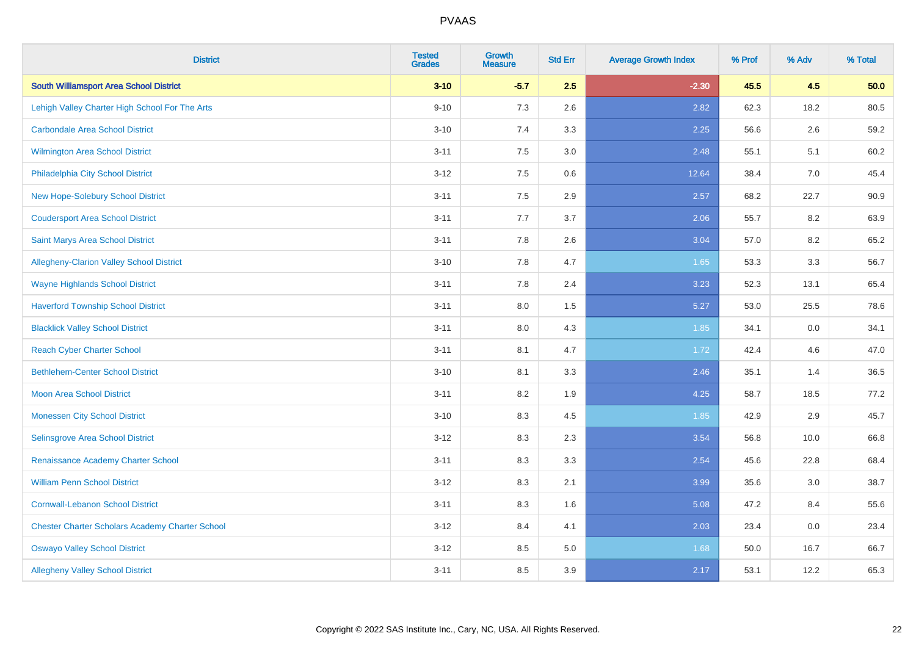| <b>District</b>                                        | <b>Tested</b><br><b>Grades</b> | <b>Growth</b><br><b>Measure</b> | <b>Std Err</b> | <b>Average Growth Index</b> | % Prof | % Adv | % Total |
|--------------------------------------------------------|--------------------------------|---------------------------------|----------------|-----------------------------|--------|-------|---------|
| <b>South Williamsport Area School District</b>         | $3 - 10$                       | $-5.7$                          | 2.5            | $-2.30$                     | 45.5   | 4.5   | 50.0    |
| Lehigh Valley Charter High School For The Arts         | $9 - 10$                       | 7.3                             | 2.6            | 2.82                        | 62.3   | 18.2  | 80.5    |
| <b>Carbondale Area School District</b>                 | $3 - 10$                       | 7.4                             | 3.3            | 2.25                        | 56.6   | 2.6   | 59.2    |
| <b>Wilmington Area School District</b>                 | $3 - 11$                       | 7.5                             | 3.0            | 2.48                        | 55.1   | 5.1   | 60.2    |
| Philadelphia City School District                      | $3 - 12$                       | 7.5                             | 0.6            | 12.64                       | 38.4   | 7.0   | 45.4    |
| New Hope-Solebury School District                      | $3 - 11$                       | 7.5                             | 2.9            | 2.57                        | 68.2   | 22.7  | 90.9    |
| <b>Coudersport Area School District</b>                | $3 - 11$                       | 7.7                             | 3.7            | 2.06                        | 55.7   | 8.2   | 63.9    |
| Saint Marys Area School District                       | $3 - 11$                       | 7.8                             | 2.6            | 3.04                        | 57.0   | 8.2   | 65.2    |
| Allegheny-Clarion Valley School District               | $3 - 10$                       | 7.8                             | 4.7            | 1.65                        | 53.3   | 3.3   | 56.7    |
| <b>Wayne Highlands School District</b>                 | $3 - 11$                       | 7.8                             | 2.4            | 3.23                        | 52.3   | 13.1  | 65.4    |
| <b>Haverford Township School District</b>              | $3 - 11$                       | 8.0                             | 1.5            | 5.27                        | 53.0   | 25.5  | 78.6    |
| <b>Blacklick Valley School District</b>                | $3 - 11$                       | 8.0                             | 4.3            | 1.85                        | 34.1   | 0.0   | 34.1    |
| <b>Reach Cyber Charter School</b>                      | $3 - 11$                       | 8.1                             | 4.7            | 1.72                        | 42.4   | 4.6   | 47.0    |
| <b>Bethlehem-Center School District</b>                | $3 - 10$                       | 8.1                             | 3.3            | 2.46                        | 35.1   | 1.4   | 36.5    |
| Moon Area School District                              | $3 - 11$                       | 8.2                             | 1.9            | 4.25                        | 58.7   | 18.5  | 77.2    |
| <b>Monessen City School District</b>                   | $3 - 10$                       | 8.3                             | 4.5            | 1.85                        | 42.9   | 2.9   | 45.7    |
| Selinsgrove Area School District                       | $3 - 12$                       | 8.3                             | 2.3            | 3.54                        | 56.8   | 10.0  | 66.8    |
| Renaissance Academy Charter School                     | $3 - 11$                       | 8.3                             | 3.3            | 2.54                        | 45.6   | 22.8  | 68.4    |
| <b>William Penn School District</b>                    | $3 - 12$                       | 8.3                             | 2.1            | 3.99                        | 35.6   | 3.0   | 38.7    |
| <b>Cornwall-Lebanon School District</b>                | $3 - 11$                       | 8.3                             | 1.6            | 5.08                        | 47.2   | 8.4   | 55.6    |
| <b>Chester Charter Scholars Academy Charter School</b> | $3 - 12$                       | 8.4                             | 4.1            | 2.03                        | 23.4   | 0.0   | 23.4    |
| <b>Oswayo Valley School District</b>                   | $3 - 12$                       | 8.5                             | 5.0            | 1.68                        | 50.0   | 16.7  | 66.7    |
| <b>Allegheny Valley School District</b>                | $3 - 11$                       | 8.5                             | 3.9            | 2.17                        | 53.1   | 12.2  | 65.3    |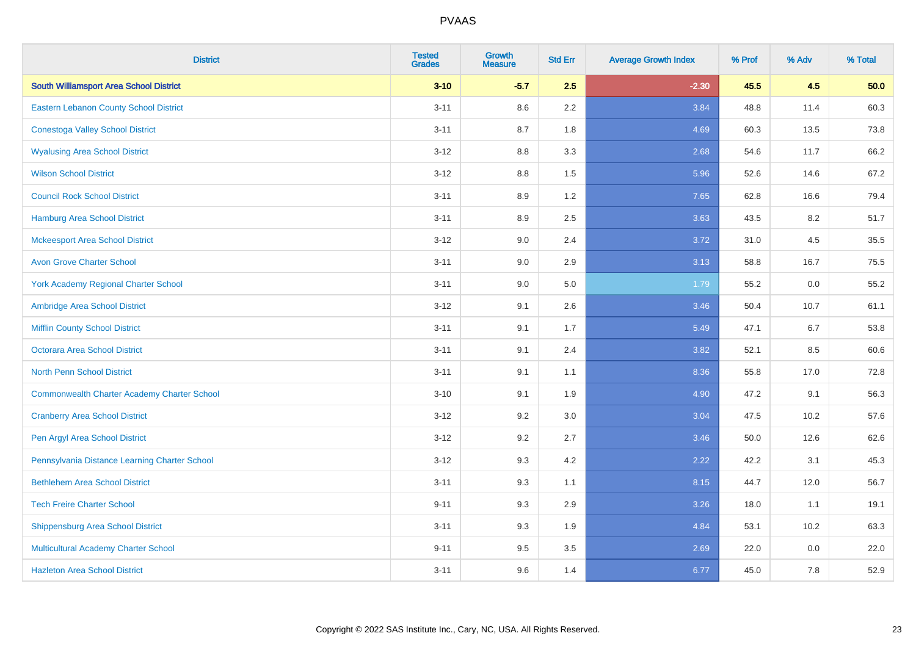| <b>District</b>                                    | <b>Tested</b><br><b>Grades</b> | <b>Growth</b><br><b>Measure</b> | <b>Std Err</b> | <b>Average Growth Index</b> | % Prof | % Adv | % Total |
|----------------------------------------------------|--------------------------------|---------------------------------|----------------|-----------------------------|--------|-------|---------|
| <b>South Williamsport Area School District</b>     | $3 - 10$                       | $-5.7$                          | 2.5            | $-2.30$                     | 45.5   | 4.5   | 50.0    |
| <b>Eastern Lebanon County School District</b>      | $3 - 11$                       | 8.6                             | 2.2            | 3.84                        | 48.8   | 11.4  | 60.3    |
| <b>Conestoga Valley School District</b>            | $3 - 11$                       | 8.7                             | 1.8            | 4.69                        | 60.3   | 13.5  | 73.8    |
| <b>Wyalusing Area School District</b>              | $3-12$                         | 8.8                             | 3.3            | 2.68                        | 54.6   | 11.7  | 66.2    |
| <b>Wilson School District</b>                      | $3 - 12$                       | 8.8                             | 1.5            | 5.96                        | 52.6   | 14.6  | 67.2    |
| <b>Council Rock School District</b>                | $3 - 11$                       | 8.9                             | 1.2            | 7.65                        | 62.8   | 16.6  | 79.4    |
| <b>Hamburg Area School District</b>                | $3 - 11$                       | 8.9                             | 2.5            | 3.63                        | 43.5   | 8.2   | 51.7    |
| <b>Mckeesport Area School District</b>             | $3 - 12$                       | 9.0                             | 2.4            | 3.72                        | 31.0   | 4.5   | 35.5    |
| <b>Avon Grove Charter School</b>                   | $3 - 11$                       | 9.0                             | 2.9            | 3.13                        | 58.8   | 16.7  | 75.5    |
| <b>York Academy Regional Charter School</b>        | $3 - 11$                       | 9.0                             | 5.0            | 1.79                        | 55.2   | 0.0   | 55.2    |
| Ambridge Area School District                      | $3 - 12$                       | 9.1                             | 2.6            | 3.46                        | 50.4   | 10.7  | 61.1    |
| <b>Mifflin County School District</b>              | $3 - 11$                       | 9.1                             | 1.7            | 5.49                        | 47.1   | 6.7   | 53.8    |
| <b>Octorara Area School District</b>               | $3 - 11$                       | 9.1                             | 2.4            | 3.82                        | 52.1   | 8.5   | 60.6    |
| <b>North Penn School District</b>                  | $3 - 11$                       | 9.1                             | 1.1            | 8.36                        | 55.8   | 17.0  | 72.8    |
| <b>Commonwealth Charter Academy Charter School</b> | $3 - 10$                       | 9.1                             | 1.9            | 4.90                        | 47.2   | 9.1   | 56.3    |
| <b>Cranberry Area School District</b>              | $3-12$                         | 9.2                             | 3.0            | 3.04                        | 47.5   | 10.2  | 57.6    |
| Pen Argyl Area School District                     | $3-12$                         | 9.2                             | 2.7            | 3.46                        | 50.0   | 12.6  | 62.6    |
| Pennsylvania Distance Learning Charter School      | $3 - 12$                       | 9.3                             | 4.2            | 2.22                        | 42.2   | 3.1   | 45.3    |
| <b>Bethlehem Area School District</b>              | $3 - 11$                       | 9.3                             | 1.1            | 8.15                        | 44.7   | 12.0  | 56.7    |
| <b>Tech Freire Charter School</b>                  | $9 - 11$                       | 9.3                             | 2.9            | 3.26                        | 18.0   | 1.1   | 19.1    |
| <b>Shippensburg Area School District</b>           | $3 - 11$                       | 9.3                             | 1.9            | 4.84                        | 53.1   | 10.2  | 63.3    |
| Multicultural Academy Charter School               | $9 - 11$                       | 9.5                             | 3.5            | 2.69                        | 22.0   | 0.0   | 22.0    |
| <b>Hazleton Area School District</b>               | $3 - 11$                       | 9.6                             | 1.4            | 6.77                        | 45.0   | 7.8   | 52.9    |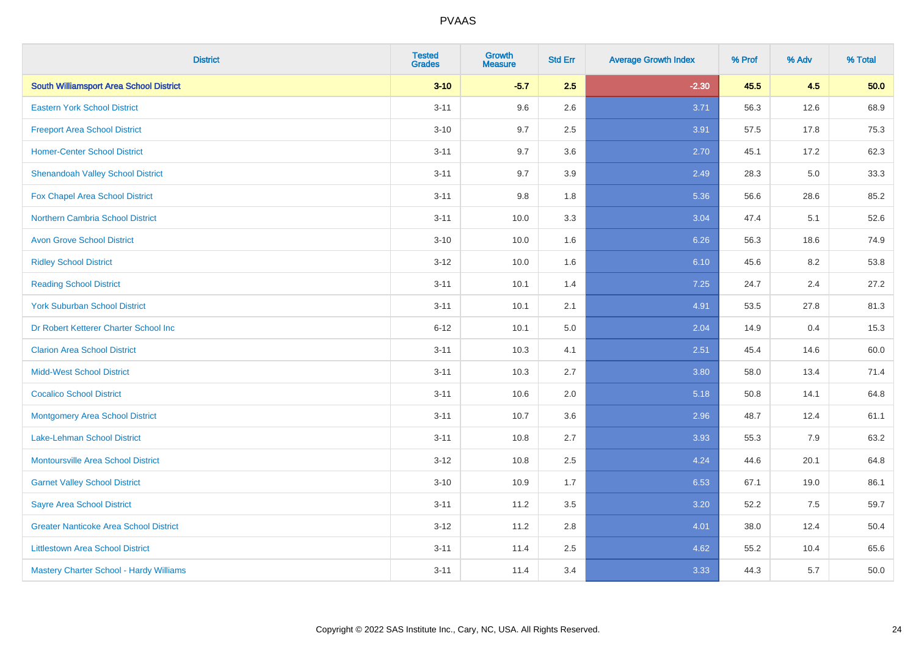| <b>District</b>                                | <b>Tested</b><br><b>Grades</b> | <b>Growth</b><br><b>Measure</b> | <b>Std Err</b> | <b>Average Growth Index</b> | % Prof | % Adv | % Total |
|------------------------------------------------|--------------------------------|---------------------------------|----------------|-----------------------------|--------|-------|---------|
| <b>South Williamsport Area School District</b> | $3 - 10$                       | $-5.7$                          | 2.5            | $-2.30$                     | 45.5   | 4.5   | 50.0    |
| <b>Eastern York School District</b>            | $3 - 11$                       | 9.6                             | 2.6            | 3.71                        | 56.3   | 12.6  | 68.9    |
| <b>Freeport Area School District</b>           | $3 - 10$                       | 9.7                             | 2.5            | 3.91                        | 57.5   | 17.8  | 75.3    |
| <b>Homer-Center School District</b>            | $3 - 11$                       | 9.7                             | 3.6            | 2.70                        | 45.1   | 17.2  | 62.3    |
| <b>Shenandoah Valley School District</b>       | $3 - 11$                       | 9.7                             | 3.9            | 2.49                        | 28.3   | 5.0   | 33.3    |
| Fox Chapel Area School District                | $3 - 11$                       | 9.8                             | 1.8            | 5.36                        | 56.6   | 28.6  | 85.2    |
| <b>Northern Cambria School District</b>        | $3 - 11$                       | 10.0                            | 3.3            | 3.04                        | 47.4   | 5.1   | 52.6    |
| <b>Avon Grove School District</b>              | $3 - 10$                       | 10.0                            | 1.6            | 6.26                        | 56.3   | 18.6  | 74.9    |
| <b>Ridley School District</b>                  | $3 - 12$                       | 10.0                            | 1.6            | 6.10                        | 45.6   | 8.2   | 53.8    |
| <b>Reading School District</b>                 | $3 - 11$                       | 10.1                            | 1.4            | 7.25                        | 24.7   | 2.4   | 27.2    |
| <b>York Suburban School District</b>           | $3 - 11$                       | 10.1                            | 2.1            | 4.91                        | 53.5   | 27.8  | 81.3    |
| Dr Robert Ketterer Charter School Inc          | $6 - 12$                       | 10.1                            | 5.0            | 2.04                        | 14.9   | 0.4   | 15.3    |
| <b>Clarion Area School District</b>            | $3 - 11$                       | 10.3                            | 4.1            | 2.51                        | 45.4   | 14.6  | 60.0    |
| <b>Midd-West School District</b>               | $3 - 11$                       | 10.3                            | 2.7            | 3.80                        | 58.0   | 13.4  | 71.4    |
| <b>Cocalico School District</b>                | $3 - 11$                       | 10.6                            | 2.0            | 5.18                        | 50.8   | 14.1  | 64.8    |
| <b>Montgomery Area School District</b>         | $3 - 11$                       | 10.7                            | 3.6            | 2.96                        | 48.7   | 12.4  | 61.1    |
| Lake-Lehman School District                    | $3 - 11$                       | 10.8                            | 2.7            | 3.93                        | 55.3   | 7.9   | 63.2    |
| Montoursville Area School District             | $3 - 12$                       | 10.8                            | 2.5            | 4.24                        | 44.6   | 20.1  | 64.8    |
| <b>Garnet Valley School District</b>           | $3 - 10$                       | 10.9                            | 1.7            | 6.53                        | 67.1   | 19.0  | 86.1    |
| <b>Sayre Area School District</b>              | $3 - 11$                       | 11.2                            | 3.5            | 3.20                        | 52.2   | 7.5   | 59.7    |
| <b>Greater Nanticoke Area School District</b>  | $3 - 12$                       | 11.2                            | 2.8            | 4.01                        | 38.0   | 12.4  | 50.4    |
| <b>Littlestown Area School District</b>        | $3 - 11$                       | 11.4                            | 2.5            | 4.62                        | 55.2   | 10.4  | 65.6    |
| Mastery Charter School - Hardy Williams        | $3 - 11$                       | 11.4                            | 3.4            | 3.33                        | 44.3   | 5.7   | 50.0    |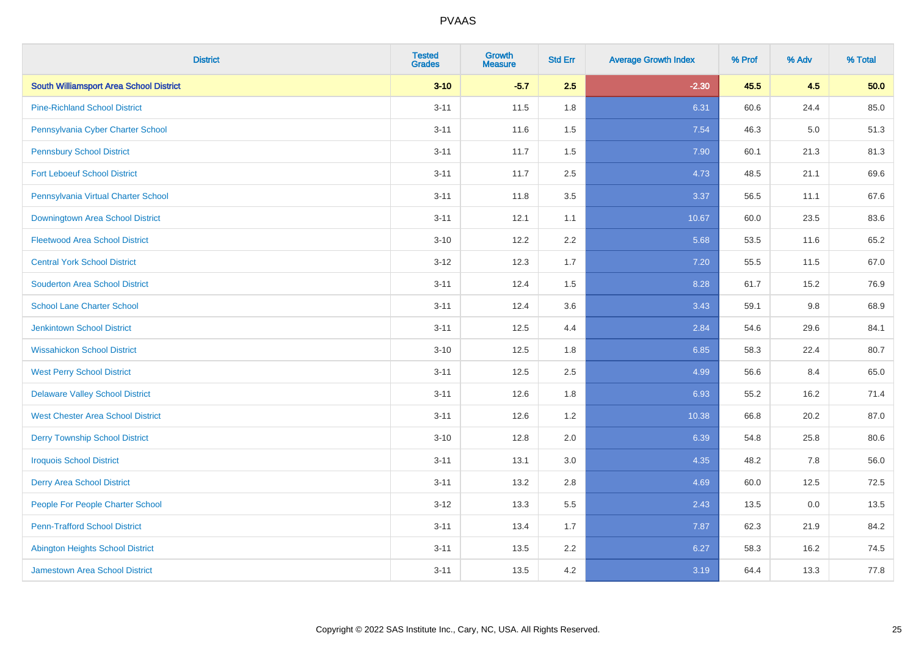| <b>District</b>                                | <b>Tested</b><br><b>Grades</b> | <b>Growth</b><br><b>Measure</b> | <b>Std Err</b> | <b>Average Growth Index</b> | % Prof | % Adv   | % Total |
|------------------------------------------------|--------------------------------|---------------------------------|----------------|-----------------------------|--------|---------|---------|
| <b>South Williamsport Area School District</b> | $3 - 10$                       | $-5.7$                          | 2.5            | $-2.30$                     | 45.5   | 4.5     | 50.0    |
| <b>Pine-Richland School District</b>           | $3 - 11$                       | 11.5                            | 1.8            | 6.31                        | 60.6   | 24.4    | 85.0    |
| Pennsylvania Cyber Charter School              | $3 - 11$                       | 11.6                            | 1.5            | 7.54                        | 46.3   | $5.0\,$ | 51.3    |
| <b>Pennsbury School District</b>               | $3 - 11$                       | 11.7                            | 1.5            | 7.90                        | 60.1   | 21.3    | 81.3    |
| <b>Fort Leboeuf School District</b>            | $3 - 11$                       | 11.7                            | 2.5            | 4.73                        | 48.5   | 21.1    | 69.6    |
| Pennsylvania Virtual Charter School            | $3 - 11$                       | 11.8                            | 3.5            | 3.37                        | 56.5   | 11.1    | 67.6    |
| Downingtown Area School District               | $3 - 11$                       | 12.1                            | 1.1            | 10.67                       | 60.0   | 23.5    | 83.6    |
| <b>Fleetwood Area School District</b>          | $3 - 10$                       | 12.2                            | 2.2            | 5.68                        | 53.5   | 11.6    | 65.2    |
| <b>Central York School District</b>            | $3 - 12$                       | 12.3                            | 1.7            | 7.20                        | 55.5   | 11.5    | 67.0    |
| <b>Souderton Area School District</b>          | $3 - 11$                       | 12.4                            | 1.5            | 8.28                        | 61.7   | 15.2    | 76.9    |
| <b>School Lane Charter School</b>              | $3 - 11$                       | 12.4                            | 3.6            | 3.43                        | 59.1   | 9.8     | 68.9    |
| Jenkintown School District                     | $3 - 11$                       | 12.5                            | 4.4            | 2.84                        | 54.6   | 29.6    | 84.1    |
| <b>Wissahickon School District</b>             | $3 - 10$                       | 12.5                            | 1.8            | 6.85                        | 58.3   | 22.4    | 80.7    |
| <b>West Perry School District</b>              | $3 - 11$                       | 12.5                            | 2.5            | 4.99                        | 56.6   | 8.4     | 65.0    |
| <b>Delaware Valley School District</b>         | $3 - 11$                       | 12.6                            | 1.8            | 6.93                        | 55.2   | 16.2    | 71.4    |
| <b>West Chester Area School District</b>       | $3 - 11$                       | 12.6                            | 1.2            | 10.38                       | 66.8   | 20.2    | 87.0    |
| <b>Derry Township School District</b>          | $3 - 10$                       | 12.8                            | 2.0            | 6.39                        | 54.8   | 25.8    | 80.6    |
| <b>Iroquois School District</b>                | $3 - 11$                       | 13.1                            | 3.0            | 4.35                        | 48.2   | 7.8     | 56.0    |
| <b>Derry Area School District</b>              | $3 - 11$                       | 13.2                            | 2.8            | 4.69                        | 60.0   | 12.5    | 72.5    |
| People For People Charter School               | $3 - 12$                       | 13.3                            | 5.5            | 2.43                        | 13.5   | 0.0     | 13.5    |
| <b>Penn-Trafford School District</b>           | $3 - 11$                       | 13.4                            | 1.7            | 7.87                        | 62.3   | 21.9    | 84.2    |
| <b>Abington Heights School District</b>        | $3 - 11$                       | 13.5                            | 2.2            | 6.27                        | 58.3   | 16.2    | 74.5    |
| <b>Jamestown Area School District</b>          | $3 - 11$                       | 13.5                            | 4.2            | 3.19                        | 64.4   | 13.3    | 77.8    |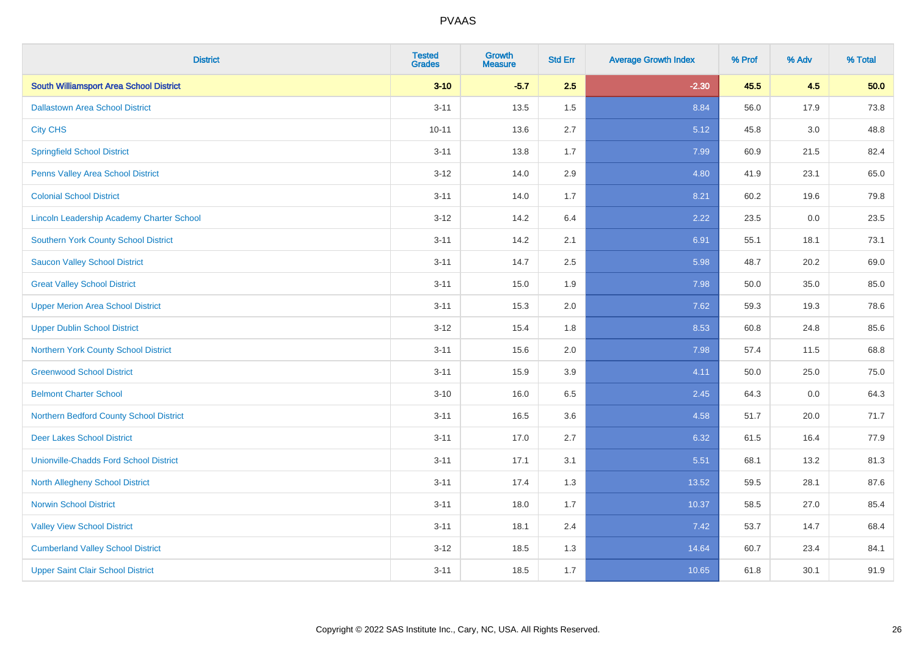| <b>District</b>                                | <b>Tested</b><br><b>Grades</b> | <b>Growth</b><br><b>Measure</b> | <b>Std Err</b> | <b>Average Growth Index</b> | % Prof | % Adv | % Total |
|------------------------------------------------|--------------------------------|---------------------------------|----------------|-----------------------------|--------|-------|---------|
| <b>South Williamsport Area School District</b> | $3 - 10$                       | $-5.7$                          | 2.5            | $-2.30$                     | 45.5   | 4.5   | 50.0    |
| <b>Dallastown Area School District</b>         | $3 - 11$                       | 13.5                            | 1.5            | 8.84                        | 56.0   | 17.9  | 73.8    |
| <b>City CHS</b>                                | $10 - 11$                      | 13.6                            | 2.7            | 5.12                        | 45.8   | 3.0   | 48.8    |
| <b>Springfield School District</b>             | $3 - 11$                       | 13.8                            | 1.7            | 7.99                        | 60.9   | 21.5  | 82.4    |
| Penns Valley Area School District              | $3 - 12$                       | 14.0                            | 2.9            | 4.80                        | 41.9   | 23.1  | 65.0    |
| <b>Colonial School District</b>                | $3 - 11$                       | 14.0                            | 1.7            | 8.21                        | 60.2   | 19.6  | 79.8    |
| Lincoln Leadership Academy Charter School      | $3 - 12$                       | 14.2                            | 6.4            | 2.22                        | 23.5   | 0.0   | 23.5    |
| <b>Southern York County School District</b>    | $3 - 11$                       | 14.2                            | 2.1            | 6.91                        | 55.1   | 18.1  | 73.1    |
| <b>Saucon Valley School District</b>           | $3 - 11$                       | 14.7                            | 2.5            | 5.98                        | 48.7   | 20.2  | 69.0    |
| <b>Great Valley School District</b>            | $3 - 11$                       | 15.0                            | 1.9            | 7.98                        | 50.0   | 35.0  | 85.0    |
| <b>Upper Merion Area School District</b>       | $3 - 11$                       | 15.3                            | 2.0            | 7.62                        | 59.3   | 19.3  | 78.6    |
| <b>Upper Dublin School District</b>            | $3 - 12$                       | 15.4                            | 1.8            | 8.53                        | 60.8   | 24.8  | 85.6    |
| Northern York County School District           | $3 - 11$                       | 15.6                            | 2.0            | 7.98                        | 57.4   | 11.5  | 68.8    |
| <b>Greenwood School District</b>               | $3 - 11$                       | 15.9                            | 3.9            | 4.11                        | 50.0   | 25.0  | 75.0    |
| <b>Belmont Charter School</b>                  | $3 - 10$                       | 16.0                            | 6.5            | 2.45                        | 64.3   | 0.0   | 64.3    |
| Northern Bedford County School District        | $3 - 11$                       | 16.5                            | 3.6            | 4.58                        | 51.7   | 20.0  | 71.7    |
| <b>Deer Lakes School District</b>              | $3 - 11$                       | 17.0                            | 2.7            | 6.32                        | 61.5   | 16.4  | 77.9    |
| <b>Unionville-Chadds Ford School District</b>  | $3 - 11$                       | 17.1                            | 3.1            | 5.51                        | 68.1   | 13.2  | 81.3    |
| North Allegheny School District                | $3 - 11$                       | 17.4                            | 1.3            | 13.52                       | 59.5   | 28.1  | 87.6    |
| <b>Norwin School District</b>                  | $3 - 11$                       | 18.0                            | 1.7            | 10.37                       | 58.5   | 27.0  | 85.4    |
| <b>Valley View School District</b>             | $3 - 11$                       | 18.1                            | 2.4            | 7.42                        | 53.7   | 14.7  | 68.4    |
| <b>Cumberland Valley School District</b>       | $3 - 12$                       | 18.5                            | 1.3            | 14.64                       | 60.7   | 23.4  | 84.1    |
| <b>Upper Saint Clair School District</b>       | $3 - 11$                       | 18.5                            | 1.7            | 10.65                       | 61.8   | 30.1  | 91.9    |